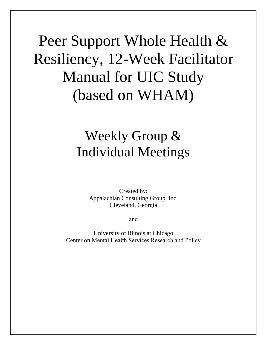# Peer Support Whole Health & Resiliency, 12-Week Facilitator Manual for UIC Study (based on WHAM)

# Weekly Group & Individual Meetings

Created by: Appalachian Consulting Group, Inc. Cleveland, Georgia

and

University of Illinois at Chicago Center on Mental Health Services Research and Policy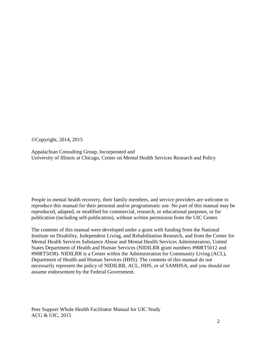©Copyright, 2014, 2015

Appalachian Consulting Group, Incorporated and University of Illinois at Chicago, Center on Mental Health Services Research and Policy

People in mental health recovery, their family members, and service providers are welcome to reproduce this manual for their personal and/or programmatic use. No part of this manual may be reproduced, adapted, or modified for commercial, research, or educational purposes, or for publication (including self-publication), without written permission from the UIC Center.

The contents of this manual were developed under a grant with funding from the National Institute on Disability, Independent Living, and Rehabilitation Research, and from the Center for Mental Health Services Substance Abuse and Mental Health Services Administration, United States Department of Health and Human Services (NIDILRR grant numbers #90RT5012 and #90RT5038). NIDILRR is a Center within the Administration for Community Living (ACL), Department of Health and Human Services (HHS). The contents of this manual do not necessarily represent the policy of NIDILRR, ACL, HHS, or of SAMHSA, and you should not assume endorsement by the Federal Government.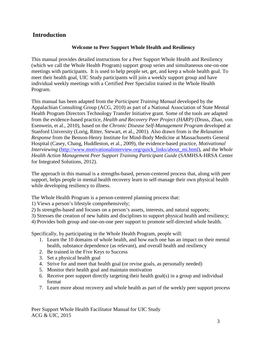### **Introduction**

### **Welcome to Peer Support Whole Health and Resiliency**

This manual provides detailed instructions for a Peer Support Whole Health and Resiliency (which we call the Whole Health Program) support group series and simultaneous one-on-one meetings with participants. It is used to help people set, get, and keep a whole health goal. To meet their health goal, UIC Study participants will join a weekly support group and have individual weekly meetings with a Certified Peer Specialist trained in the Whole Health Program.

This manual has been adapted from the *Participant Training Manual* developed by the Appalachian Consulting Group (ACG, 2010) as part of a National Association of State Mental Health Program Directors Technology Transfer Initiative grant. Some of the tools are adapted from the evidence-based practice, *Health and Recovery Peer Project (HARP)* (Druss, Zhao, von Esenwein, et al., 2010), based on the *Chronic Disease Self-Management Program* developed at Stanford University (Lorig, Ritter, Stewart, et al., 2001). Also drawn from is the *Relaxation Response* from the Benson-Henry Institute for Mind-Body Medicine at Massachusetts General Hospital (Casey, Chang, Huddleston, et al., 2009), the evidence-based practice, *Motivational Interviewing* [\(http://www.motivationalinterview.org/quick\\_links/about\\_mi.html\)](http://www.motivationalinterview.org/quick_links/about_mi.html), and the *Whole Health Action Management Peer Support Training Participant Guide* (SAMHSA-HRSA Center for Integrated Solutions, 2012).

The approach in this manual is a strengths-based, person-centered process that, along with peer support, helps people in mental health recovery learn to self-manage their own physical health while developing resiliency to illness.

The Whole Health Program is a person-centered planning process that:

1) Views a person's lifestyle comprehensively;

- 2) Is strengths-based and focuses on a person's assets, interests, and natural supports;
- 3) Stresses the creation of new habits and disciplines to support physical health and resiliency;
- 4) Provides both group and one-on-one peer support to promote self-directed whole health.

Specifically, by participating in the Whole Health Program, people will:

- 1. Learn the 10 domains of whole health, and how each one has an impact on their mental health, substance dependence (as relevant), and overall health and resiliency
- 2. Be trained in the Five Keys to Success
- 3. Set a physical health goal
- 4. Strive for and meet that health goal (or revise goals, as personally needed)
- 5. Monitor their health goal and maintain motivation
- 6. Receive peer support directly targeting their health goal(s) in a group and individual format
- 7. Learn more about recovery and whole health as part of the weekly peer support process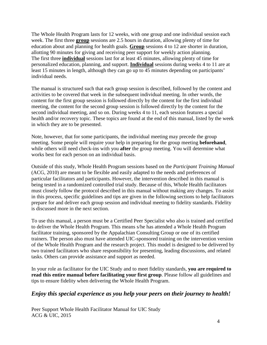The Whole Health Program lasts for 12 weeks, with one group and one individual session each week. The first three **group** sessions are 2.5 hours in duration, allowing plenty of time for education about and planning for health goals. **Group** sessions 4 to 12 are shorter in duration, allotting 90 minutes for giving and receiving peer support for weekly action planning. The first three **individual** sessions last for at least 45 minutes, allowing plenty of time for personalized education, planning, and support. **Individual** sessions during weeks 4 to 11 are at least 15 minutes in length, although they can go up to 45 minutes depending on participants' individual needs.

The manual is structured such that each group session is described, followed by the content and activities to be covered that week in the subsequent individual meeting. In other words, the content for the first group session is followed directly by the content for the first individual meeting, the content for the second group session is followed directly by the content for the second individual meeting, and so on. During weeks 4 to 11, each session features a special health and/or recovery topic. These topics are found at the end of this manual, listed by the week in which they are to be presented.

Note, however, that for some participants, the individual meeting may precede the group meeting. Some people will require your help in preparing for the group meeting **beforehand**, while others will need check-ins with you **after** the group meeting. You will determine what works best for each person on an individual basis.

Outside of this study, Whole Health Program sessions based on the *Participant Training Manual* (ACG, 2010) are meant to be flexible and easily adapted to the needs and preferences of particular facilitators and participants. However, the intervention described in this manual is being tested in a randomized controlled trial study. Because of this, Whole Health facilitators must closely follow the protocol described in this manual without making any changes. To assist in this process, specific guidelines and tips are given in the following sections to help facilitators prepare for and deliver each group session and individual meeting to fidelity standards. Fidelity is discussed more in the next section.

To use this manual, a person must be a Certified Peer Specialist who also is trained and certified to deliver the Whole Health Program. This means s/he has attended a Whole Health Program facilitator training, sponsored by the Appalachian Consulting Group or one of its certified trainers. The person also must have attended UIC-sponsored training on the intervention version of the Whole Health Program and the research project. This model is designed to be delivered by two trained facilitators who share responsibility for presenting, leading discussions, and related tasks. Others can provide assistance and support as needed.

In your role as facilitator for the UIC Study and to meet fidelity standards, **you are required to read this entire manual before facilitating your first group**. Please follow all guidelines and tips to ensure fidelity when delivering the Whole Health Program.

### *Enjoy this special experience as you help your peers on their journey to health!*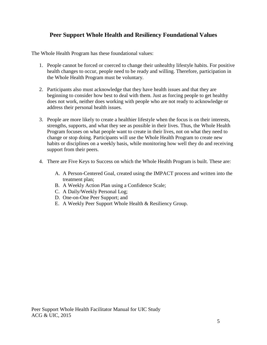### **Peer Support Whole Health and Resiliency Foundational Values**

The Whole Health Program has these foundational values:

- 1. People cannot be forced or coerced to change their unhealthy lifestyle habits. For positive health changes to occur, people need to be ready and willing. Therefore, participation in the Whole Health Program must be voluntary.
- 2. Participants also must acknowledge that they have health issues and that they are beginning to consider how best to deal with them. Just as forcing people to get healthy does not work, neither does working with people who are not ready to acknowledge or address their personal health issues.
- 3. People are more likely to create a healthier lifestyle when the focus is on their interests, strengths, supports, and what they see as possible in their lives. Thus, the Whole Health Program focuses on what people want to create in their lives, not on what they need to change or stop doing. Participants will use the Whole Health Program to create new habits or disciplines on a weekly basis, while monitoring how well they do and receiving support from their peers.
- 4. There are Five Keys to Success on which the Whole Health Program is built. These are:
	- A. A Person-Centered Goal, created using the IMPACT process and written into the treatment plan;
	- B. A Weekly Action Plan using a Confidence Scale;
	- C. A Daily/Weekly Personal Log;
	- D. One-on-One Peer Support; and
	- E. A Weekly Peer Support Whole Health & Resiliency Group.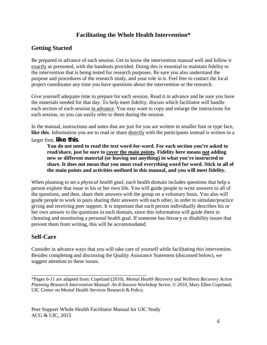### **Facilitating the Whole Health Intervention\***

### **Getting Started**

Be prepared in advance of each session. Get to know the intervention manual well and follow it exactly as presented, with the handouts provided. Doing this is essential to maintain fidelity to the intervention that is being tested for research purposes. Be sure you also understand the purpose and procedures of the research study, and your role in it. Feel free to contact the local project coordinator any time you have questions about the intervention or the research.

Give yourself adequate time to prepare for each session. Read it in advance and be sure you have the materials needed for that day. To help meet fidelity, discuss which facilitator will handle each section of each session in advance. You may want to copy and enlarge the instructions for each session, so you can easily refer to them during the session.

In the manual, instructions and notes that are just for you are written in smaller font or type face, **like this**. Information you are to read or share directly with the participants instead is written in a larger font, **like this.**

**You do not need to read the text word-for-word. For each section you're asked to read/share, just be sure to cover the main points. Fidelity here means not adding new or different material (or leaving out anything) in what you're instructed to share. It does not mean that you must read everything word for word. Stick to all of the main points and activities outlined in this manual, and you will meet fidelity.** 

When planning to set a *physical health goal, each* health domain includes questions that help a person explore that issue in his or her own life. You will guide people to write answers to all of the questions, and then, share their answers with the group on a voluntary basis. You also will guide people to work in pairs sharing their answers with each other, in order to simulate/practice giving and receiving peer support. It is important that each person individually describes his or her own answer to the questions in each domain, since this information will guide them in choosing and monitoring a personal health goal. If someone has literacy or disability issues that prevent them from writing, this will be accommodated.

### **Self-Care**

Consider in advance ways that you will take care of yourself while facilitating this intervention. Besides completing and discussing the Quality Assurance Statement (discussed below), we suggest attention to these issues.

\_\_\_\_\_\_\_\_\_\_\_\_\_\_\_\_\_\_\_\_\_\_\_\_\_\_\_\_\_\_\_\_\_\_\_\_\_\_\_\_\_\_\_\_ \*Pages 6-11 are adapted from: Copeland (2010). *Mental Health Recovery and Wellness Recovery Action Planning Research Intervention Manual: An 8-Session Workshop Series*. © 2010, Mary Ellen Copeland; UIC Center on Mental Health Services Research & Policy.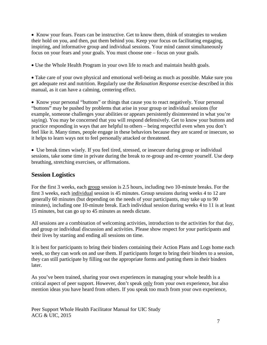• Know your fears. Fears can be instructive. Get to know them, think of strategies to weaken their hold on you, and then, put them behind you. Keep your focus on facilitating engaging, inspiring, and informative group and individual sessions. Your mind cannot simultaneously focus on your fears and your goals. You must choose one – focus on your goals.

• Use the Whole Health Program in your own life to reach and maintain health goals.

• Take care of your own physical and emotional well-being as much as possible. Make sure you get adequate rest and nutrition. Regularly use the *Relaxation Response* exercise described in this manual, as it can have a calming, centering effect.

• Know your personal "buttons" or things that cause you to react negatively. Your personal "buttons" may be pushed by problems that arise in your group or individual sessions (for example, someone challenges your abilities or appears persistently disinterested in what you're saying). You may be concerned that you will respond defensively. Get to know your buttons and practice responding in ways that are helpful to others – being respectful even when you don't feel like it. Many times, people engage in these behaviors because they are scared or insecure, so it helps to learn ways not to feel personally attacked or threatened.

• Use break times wisely. If you feel tired, stressed, or insecure during group or individual sessions, take some time in private during the break to re-group and re-center yourself. Use deep breathing, stretching exercises, or affirmations.

### **Session Logistics**

For the first 3 weeks, each group session is 2.5 hours, including two 10-minute breaks. For the first 3 weeks, each individual session is 45 minutes. Group sessions during weeks 4 to 12 are generally 60 minutes (but depending on the needs of your participants, may take up to 90 minutes), including one 10-minute break. Each individual session during weeks 4 to 11 is at least 15 minutes, but can go up to 45 minutes as needs dictate.

All sessions are a combination of welcoming activities, introduction to the activities for that day, and group or individual discussion and activities. Please show respect for your participants and their lives by starting and ending all sessions on time.

It is best for participants to bring their binders containing their Action Plans and Logs home each week, so they can work on and use them. If participants forget to bring their binders to a session, they can still participate by filling out the appropriate forms and putting them in their binders later.

As you've been trained, sharing your own experiences in managing your whole health is a critical aspect of peer support. However, don't speak only from your own experience, but also mention ideas you have heard from others. If you speak too much from your own experience,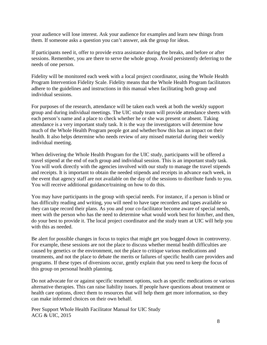your audience will lose interest. Ask your audience for examples and learn new things from them. If someone asks a question you can't answer, ask the group for ideas.

If participants need it, offer to provide extra assistance during the breaks, and before or after sessions. Remember, you are there to serve the whole group. Avoid persistently deferring to the needs of one person.

Fidelity will be monitored each week with a local project coordinator, using the Whole Health Program Intervention Fidelity Scale. Fidelity means that the Whole Health Program facilitators adhere to the guidelines and instructions in this manual when facilitating both group and individual sessions.

For purposes of the research, attendance will be taken each week at both the weekly support group and during individual meetings. The UIC study team will provide attendance sheets with each person's name and a place to check whether he or she was present or absent. Taking attendance is a very important study task. It is the way the investigators will determine how much of the Whole Health Program people got and whether/how this has an impact on their health. It also helps determine who needs review of any missed material during their weekly individual meeting.

When delivering the Whole Health Program for the UIC study, participants will be offered a travel stipend at the end of each group and individual session. This is an important study task. You will work directly with the agencies involved with our study to manage the travel stipends and receipts. It is important to obtain the needed stipends and receipts in advance each week, in the event that agency staff are not available on the day of the sessions to distribute funds to you. You will receive additional guidance/training on how to do this.

You may have participants in the group with special needs. For instance, if a person is blind or has difficulty reading and writing, you will need to have tape recorders and tapes available so they can tape record their plans. As you and your co-facilitator become aware of special needs, meet with the person who has the need to determine what would work best for him/her, and then, do your best to provide it. The local project coordinator and the study team at UIC will help you with this as needed.

Be alert for possible changes in focus to topics that might get you bogged down in controversy. For example, these sessions are not the place to discuss whether mental health difficulties are caused by genetics or the environment, not the place to critique various medications and treatments, and not the place to debate the merits or failures of specific health care providers and programs. If these types of diversions occur, gently explain that you need to keep the focus of this group on personal health planning.

Do not advocate for or against specific treatment options, such as specific medications or various alternative therapies. This can raise liability issues. If people have questions about treatment or health care options, direct them to resources that will help them get more information, so they can make informed choices on their own behalf.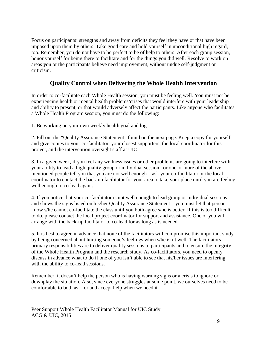Focus on participants' strengths and away from deficits they feel they have or that have been imposed upon them by others. Take good care and hold yourself in unconditional high regard, too. Remember, you do not have to be perfect to be of help to others. After each group session, honor yourself for being there to facilitate and for the things you did well. Resolve to work on areas you or the participants believe need improvement, without undue self-judgment or criticism.

### **Quality Control when Delivering the Whole Health Intervention**

In order to co-facilitate each Whole Health session, you must be feeling well. You must not be experiencing health or mental health problems/crises that would interfere with your leadership and ability to present, or that would adversely affect the participants. Like anyone who facilitates a Whole Health Program session, you must do the following:

1. Be working on your own weekly health goal and log.

2. Fill out the "Quality Assurance Statement" found on the next page. Keep a copy for yourself, and give copies to your co-facilitator, your closest supporters, the local coordinator for this project, and the intervention oversight staff at UIC.

3. In a given week, if you feel any wellness issues or other problems are going to interfere with your ability to lead a high quality group or individual session– or one or more of the abovementioned people tell you that you are not well enough – ask your co-facilitator or the local coordinator to contact the back-up facilitator for your area to take your place until you are feeling well enough to co-lead again.

4. If you notice that your co-facilitator is not well enough to lead group or individual sessions – and shows the signs listed on his/her Quality Assurance Statement – you must let that person know s/he cannot co-facilitate the class until you both agree s/he is better. If this is too difficult to do, please contact the local project coordinator for support and assistance. One of you will arrange with the back-up facilitator to co-lead for as long as is needed.

5. It is best to agree in advance that none of the facilitators will compromise this important study by being concerned about hurting someone's feelings when s/he isn't well. The facilitators' primary responsibilities are to deliver quality sessions to participants and to ensure the integrity of the Whole Health Program and the research study. As co-facilitators, you need to openly discuss in advance what to do if one of you isn't able to see that his/her issues are interfering with the ability to co-lead sessions.

Remember, it doesn't help the person who is having warning signs or a crisis to ignore or downplay the situation. Also, since everyone struggles at some point, we ourselves need to be comfortable to both ask for and accept help when we need it.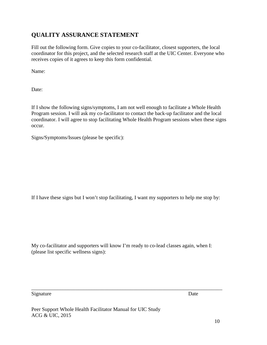### **QUALITY ASSURANCE STATEMENT**

Fill out the following form. Give copies to your co-facilitator, closest supporters, the local coordinator for this project, and the selected research staff at the UIC Center. Everyone who receives copies of it agrees to keep this form confidential.

Name:

Date:

If I show the following signs/symptoms, I am not well enough to facilitate a Whole Health Program session. I will ask my co-facilitator to contact the back-up facilitator and the local coordinator. I will agree to stop facilitating Whole Health Program sessions when these signs occur.

Signs/Symptoms/Issues (please be specific):

If I have these signs but I won't stop facilitating, I want my supporters to help me stop by:

My co-facilitator and supporters will know I'm ready to co-lead classes again, when I: (please list specific wellness signs):

\_\_\_\_\_\_\_\_\_\_\_\_\_\_\_\_\_\_\_\_\_\_\_\_\_\_\_\_\_\_\_\_\_\_\_\_\_\_\_\_\_\_\_\_\_\_\_\_\_\_\_\_\_\_\_\_\_\_\_\_\_\_\_\_\_\_\_\_\_\_\_\_\_

Signature Date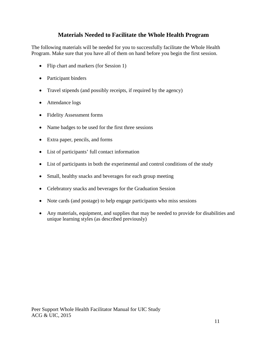### **Materials Needed to Facilitate the Whole Health Program**

The following materials will be needed for you to successfully facilitate the Whole Health Program. Make sure that you have all of them on hand before you begin the first session.

- Flip chart and markers (for Session 1)
- Participant binders
- Travel stipends (and possibly receipts, if required by the agency)
- Attendance logs
- Fidelity Assessment forms
- Name badges to be used for the first three sessions
- Extra paper, pencils, and forms
- List of participants' full contact information
- List of participants in both the experimental and control conditions of the study
- Small, healthy snacks and beverages for each group meeting
- Celebratory snacks and beverages for the Graduation Session
- Note cards (and postage) to help engage participants who miss sessions
- Any materials, equipment, and supplies that may be needed to provide for disabilities and unique learning styles (as described previously)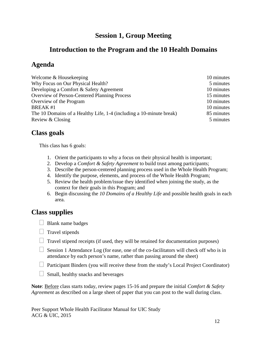# **Session 1, Group Meeting**

# **Introduction to the Program and the 10 Health Domains**

# **Agenda**

| Welcome & Housekeeping                                              | 10 minutes |
|---------------------------------------------------------------------|------------|
| Why Focus on Our Physical Health?                                   | 5 minutes  |
| Developing a Comfort & Safety Agreement                             | 10 minutes |
| <b>Overview of Person-Centered Planning Process</b>                 | 15 minutes |
| Overview of the Program                                             | 10 minutes |
| <b>BREAK#1</b>                                                      | 10 minutes |
| The 10 Domains of a Healthy Life, 1-4 (including a 10-minute break) | 85 minutes |
| Review & Closing                                                    | 5 minutes  |

# **Class goals**

This class has 6 goals:

- 1. Orient the participants to why a focus on their physical health is important;
- 2. Develop a *Comfort & Safety Agreement* to build trust among participants;
- 3. Describe the person-centered planning process used in the Whole Health Program;
- 4. Identify the purpose, elements, and process of the Whole Health Program;
- 5. Review the health problem/issue they identified when joining the study, as the context for their goals in this Program; and
- 6. Begin discussing the *10 Domains of a Healthy Life* and possible health goals in each area.

# **Class supplies**

- $\Box$  Blank name badges
- $\Box$  Travel stipends
- $\Box$  Travel stipend receipts (if used, they will be retained for documentation purposes)
- $\Box$  Session 1 Attendance Log (for ease, one of the co-facilitators will check off who is in attendance by each person's name, rather than passing around the sheet)
- $\Box$  Participant Binders (you will receive these from the study's Local Project Coordinator)
- $\Box$  Small, healthy snacks and beverages

**Note**: Before class starts today, review pages 15-16 and prepare the initial *Comfort & Safety Agreement* as described on a large sheet of paper that you can post to the wall during class.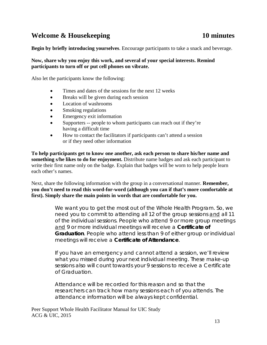# **Welcome & Housekeeping 10 minutes**

**Begin by briefly introducing yourselves**. Encourage participants to take a snack and beverage.

### **Now, share why you enjoy this work, and several of your special interests. Remind participants to turn off or put cell phones on vibrate.**

Also let the participants know the following:

- Times and dates of the sessions for the next 12 weeks
- Breaks will be given during each session
- Location of washrooms
- Smoking regulations
- Emergency exit information
- Supporters -- people to whom participants can reach out if they're having a difficult time
- How to contact the facilitators if participants can't attend a session or if they need other information

**To help participants get to know one another, ask each person to share his/her name and something s/he likes to do for enjoyment.** Distribute name badges and ask each participant to write their first name only on the badge. Explain that badges will be worn to help people learn each other's names.

Next, share the following information with the group in a conversational manner. **Remember, you don't need to read this word-for-word (although you can if that's more comfortable at first). Simply share the main points in words that are comfortable for you.** 

> We want you to get the most out of the Whole Health Program. So, we need you to commit to attending all 12 of the group sessions and all 11 of the individual sessions. People who attend 9 or more group meetings and 9 or more individual meetings will receive a **Certificate of Graduation**. People who attend less than 9 of either group or individual meetings will receive a **Certificate of Attendance**.

If you have an emergency and cannot attend a session, we'll review what you missed during your next individual meeting. These make-up sessions also will count towards your 9 sessions to receive a Certificate of Graduation.

Attendance will be recorded for this reason and so that the researchers can track how many sessions each of you attends. The attendance information will be always kept confidential.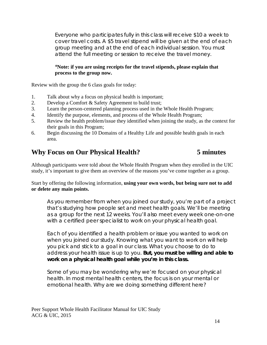Everyone who participates fully in this class will receive \$10 a week to cover travel costs. A \$5 travel stipend will be given at the end of each group meeting and at the end of each individual session. You must attend the full meeting or session to receive the travel money.

### \***Note: if you are using receipts for the travel stipends, please explain that process to the group now.**

Review with the group the 6 class goals for today:

- 1. Talk about why a focus on physical health is important;
- 2. Develop a Comfort & Safety Agreement to build trust;
- 3. Learn the person-centered planning process used in the Whole Health Program;
- 4. Identify the purpose, elements, and process of the Whole Health Program;
- 5. Review the health problem/issue they identified when joining the study, as the context for their goals in this Program;
- 6. Begin discussing the 10 Domains of a Healthy Life and possible health goals in each area.

# **Why Focus on Our Physical Health? 5 minutes**

Although participants were told about the Whole Health Program when they enrolled in the UIC study, it's important to give them an overview of the reasons you've come together as a group.

### Start by offering the following information, **using your own words, but being sure not to add or delete any main points.**

As you remember from when you joined our study, you're part of a project that's studying how people set and meet health goals. We'll be meeting as a group for the next 12 weeks. You'll also meet every week one-on-one with a certified peer specialist to work on your physical health goal.

Each of you identified a health problem or issue you wanted to work on when you joined our study. Knowing what you want to work on will help you pick and stick to a goal in our class. What you choose to do to address your health issue is up to you. **But, you must be willing and able to work on a physical health goal while you're in this class.** 

Some of you may be wondering why we're focused on your physical health. In most mental health centers, the focus is on your mental or emotional health. Why are we doing something different here?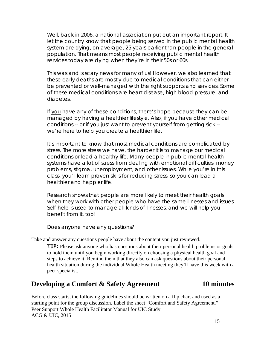Well, back in 2006, a national association put out an important report. It let the country know that people being served in the public mental health system are dying, on average, 25 years earlier than people in the general population. That means most people receiving public mental health services today are dying when they're in their 50s or 60s.

This was and is scary news for many of us! However, we also learned that these early deaths are mostly due to medical conditions that can either be prevented or well-managed with the right supports and services. Some of these medical conditions are heart disease, high blood pressure, and diabetes.

If you have any of these conditions, there's hope because they can be managed by having a healthier lifestyle. Also, if you have other medical conditions -- or if you just want to prevent yourself from getting sick - we're here to help you create a healthier life.

It's important to know that most medical conditions are complicated by stress. The more stress we have, the harder it is to manage our medical conditions or lead a healthy life. Many people in public mental health systems have a lot of stress from dealing with emotional difficulties, money problems, stigma, unemployment, and other issues. While you're in this class, you'll learn proven skills for reducing stress, so you can lead a healthier and happier life.

Research shows that people are more likely to meet their health goals when they work with other people who have the same illnesses and issues. Self-help is used to manage all kinds of illnesses, and we will help you benefit from it, too!

Does anyone have any questions?

Take and answer any questions people have about the content you just reviewed.

**TIP:** Please ask anyone who has questions about their personal health problems or goals to hold them until you begin working directly on choosing a physical health goal and steps to achieve it. Remind them that they also can ask questions about their personal health situation during the individual Whole Health meeting they'll have this week with a peer specialist.

### **Developing a Comfort & Safety Agreement 10 minutes**

Peer Support Whole Health Facilitator Manual for UIC Study ACG & UIC, 2015 Before class starts, the following guidelines should be written on a flip chart and used as a starting point for the group discussion. Label the sheet "Comfort and Safety Agreement."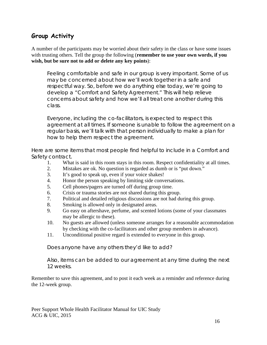# **Group Activity**

A number of the participants may be worried about their safety in the class or have some issues with trusting others. Tell the group the following (**remember to use your own words, if you wish, but be sure not to add or delete any key points**):

Feeling comfortable and safe in our group is very important. Some of us may be concerned about how we'll work together in a safe and respectful way. So, before we do anything else today, we're going to develop a "Comfort and Safety Agreement." This will help relieve concerns about safety and how we'll all treat one another during this class.

Everyone, including the co-facilitators, is expected to respect this agreement at all times. If someone is unable to follow the agreement on a regular basis, we'll talk with that person individually to make a plan for how to help them respect the agreement.

Here are some items that most people find helpful to include in a Comfort and Safety contract.

- 1. What is said in this room stays in this room. Respect confidentiality at all times.
- 2. Mistakes are ok. No question is regarded as dumb or is "put down."
- 3. It's good to speak up, even if your voice shakes!
- 4. Honor the person speaking by limiting side conversations.
- 5. Cell phones/pagers are turned off during group time.
- 6. Crisis or trauma stories are not shared during this group.
- 7. Political and detailed religious discussions are not had during this group.
- 8. Smoking is allowed only in designated areas.
- 9. Go easy on aftershave, perfume, and scented lotions (some of your classmates may be allergic to these).
- 10. No guests are allowed (unless someone arranges for a reasonable accommodation by checking with the co-facilitators and other group members in advance).
- 11. Unconditional positive regard is extended to everyone in this group.

Does anyone have any others they'd like to add?

Also, items can be added to our agreement at any time during the next 12 weeks.

Remember to save this agreement, and to post it each week as a reminder and reference during the 12-week group.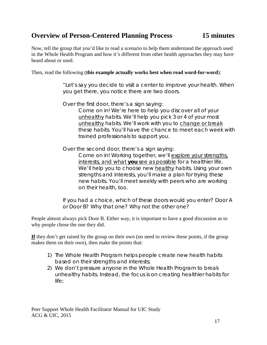# **Overview of Person-Centered Planning Process 15 minutes**

Now, tell the group that you'd like to read a scenario to help them understand the approach used in the Whole Health Program and how it's different from other health approaches they may have heard about or used.

Then, read the following (**this example actually works best when read word-for-word**):

"Let's say you decide to visit a center to improve your health. When you get there, you notice there are two doors.

Over the first door, there's a sign saying:

Come on in! We're here to help you discover all of your unhealthy habits. We'll help you pick 3 or 4 of your most unhealthy habits. We'll work with you to change or break these habits. You'll have the chance to meet each week with trained professionals to support you.

Over the second door, there's a sign saying: Come on in! Working together, we'll explore your strengths, interests, and what **you** see as possible for a healthier life. We'll help you to choose new healthy habits. Using your own strengths and interests, you'll make a plan for trying these new habits. You'll meet weekly with peers who are working on their health, too.

If you had a choice, which of these doors would you enter? Door A or Door B? Why that one? Why not the other one?

People almost always pick Door B. Either way, it is important to have a good discussion as to why people chose the one they did.

If they don't get raised by the group on their own (no need to review these points, if the group makes them on their own), then make the points that:

- 1) The Whole Health Program helps people create new health habits based on their strengths and interests;
- 2) We don't pressure anyone in the Whole Health Program to break unhealthy habits. Instead, the focus is on creating healthier habits for life;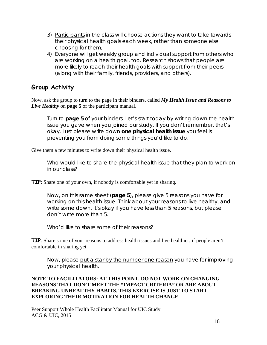- 3) Participants in the class will choose actions they want to take towards their physical health goals each week, rather than someone else choosing for them;
- 4) Everyone will get weekly group and individual support from others who are working on a health goal, too. Research shows that people are more likely to reach their health goals with support from their peers (along with their family, friends, providers, and others).

# **Group Activity**

Now, ask the group to turn to the page in their binders, called *My Health Issue and Reasons to Live Healthy* on **page 5** of the participant manual.

Turn to **page 5** of your binders. Let's start today by writing down the health issue you gave when you joined our study. If you don't remember, that's okay. Just please write down **one physical health issue** you feel is preventing you from doing some things you'd like to do.

Give them a few minutes to write down their physical health issue.

Who would like to share the physical health issue that they plan to work on in our class?

**TIP**: Share one of your own, if nobody is comfortable yet in sharing.

Now, on this same sheet (**page 5**), please give 5 reasons you have for working on this health issue. Think about your reasons to live healthy, and write some down. It's okay if you have less than 5 reasons, but please don't write more than 5.

Who'd like to share some of their reasons?

**TIP**: Share some of your reasons to address health issues and live healthier, if people aren't comfortable in sharing yet.

Now, please put a star by the number one reason you have for improving your physical health.

### **NOTE TO FACILITATORS: AT THIS POINT, DO NOT WORK ON CHANGING REASONS THAT DON'T MEET THE "IMPACT CRITERIA" OR ARE ABOUT BREAKING UNHEALTHY HABITS. THIS EXERCISE IS JUST TO START EXPLORING THEIR MOTIVATION FOR HEALTH CHANGE.**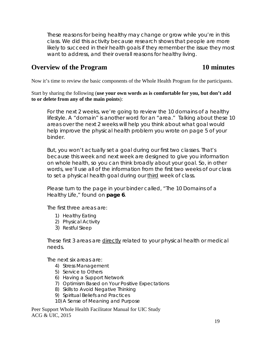These reasons for being healthy may change or grow while you're in this class. We did this activity because research shows that people are more likely to succeed in their health goals if they remember the issue they most want to address, and their overall reasons for healthy living.

## **Overview of the Program 10 minutes**

Now it's time to review the basic components of the Whole Health Program for the participants.

Start by sharing the following (**use your own words as is comfortable for you, but don't add to or delete from any of the main points**):

For the next 2 weeks, we're going to review the 10 domains of a healthy lifestyle. A "domain" is another word for an "area." Talking about these 10 areas over the next 2 weeks will help you think about what goal would help improve the physical health problem you wrote on page 5 of your binder.

But, you won't actually set a goal during our first two classes. That's because this week and next week are designed to give you information on whole health, so you can think broadly about your goal. So, in other words, we'll use all of the information from the first two weeks of our class to set a physical health goal during our third week of class.

Please turn to the page in your binder called, "The 10 Domains of a Healthy Life," found on **page 6**.

The first three areas are:

- 1) Healthy Eating
- 2) Physical Activity
- 3) Restful Sleep

These first 3 areas are directly related to your physical health or medical needs.

The next six areas are:

- 4) Stress Management
- 5) Service to Others
- 6) Having a Support Network
- 7) Optimism Based on Your Positive Expectations
- 8) Skills to Avoid Negative Thinking
- 9) Spiritual Beliefs and Practices
- 10) A Sense of Meaning and Purpose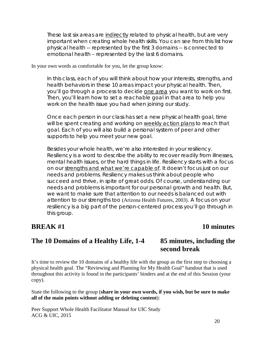These last six areas are indirectly related to physical health, but are very important when creating whole health skills. You can see from this list how physical health -- represented by the first 3 domains -- is connected to emotional health – represented by the last 6 domains.

In your own words as comfortable for you, let the group know:

In this class, each of you will think about how your interests, strengths, and health behaviors in these 10 areas impact your physical health. Then, you'll go through a process to decide one area you want to work on first. Then, you'll learn how to set a reachable goal in that area to help you work on the health issue you had when joining our study.

Once each person in our class has set a new physical health goal, time will be spent creating and working on weekly action plans to reach that goal. Each of you will also build a personal system of peer and other supports to help you meet your new goal.

Besides your whole health, we're also interested in your resiliency. Resiliency is a word to describe the ability to recover readily from illnesses, mental health issues, or the hard things in life. Resiliency starts with a focus on our strengths and what we're capable of. It doesn't focus just on our needs and problems. Resiliency makes us think about people who succeed and thrive, in spite of great odds. Of course, understanding our needs and problems is important for our personal growth and health. But, we want to make sure that attention to our needs is balanced out with attention to our strengths too (Arizona Health Futures, 2003). A focus on your resiliency is a big part of the person-centered process you'll go through in this group.

### **BREAK** #1 10 minutes

### **The 10 Domains of a Healthy Life, 1-4 85 minutes, including the second break**

It's time to review the 10 domains of a healthy life with the group as the first step to choosing a physical health goal. The "Reviewing and Planning for My Health Goal" handout that is used throughout this activity is found in the participants' binders and at the end of this Session (your copy).

State the following to the group (**share in your own words, if you wish, but be sure to make all of the main points without adding or deleting content**):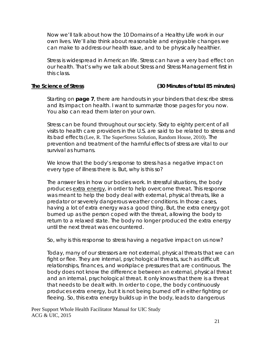Now we'll talk about how the 10 Domains of a Healthy Life work in our own lives. We'll also think about reasonable and enjoyable changes we can make to address our health issue, and to be physically healthier.

Stress is widespread in American life. Stress can have a very bad effect on our health. That's why we talk about Stress and Stress Management first in this class.

### **The Science of Stress (30 Minutes of total 85 minutes)**

Starting on **page 7**, there are handouts in your binders that describe stress and its impact on health. I want to summarize those pages for you now. You also can read them later on your own.

Stress can be found throughout our society. Sixty to eighty percent of all visits to health care providers in the U.S. are said to be related to stress and its bad effects (Lee, R. The SuperStress Solution, Random House, 2010). The prevention and treatment of the harmful effects of stress are vital to our survival as humans.

We know that the body's response to stress has a negative impact on every type of illness there is. But, why is this so?

The answer lies in how our bodies work. In stressful situations, the body produces extra energy, in order to help overcome threat. This response was meant to help the body deal with external, physical threats, like a predator or severely dangerous weather conditions. In those cases, having a lot of extra energy was a good thing. But, the extra energy got burned up as the person coped with the threat, allowing the body to return to a relaxed state. The body no longer produced the extra energy until the next threat was encountered.

So, why is this response to stress having a negative impact on us now?

Today, many of our stressors are not external, physical threats that we can fight or flee. They are internal, psychological threats, such as difficult relationships, finances, and workplace pressures that are continuous. The body does not know the difference between an external, physical threat and an internal, psychological threat. It only knows that there is a threat that needs to be dealt with. In order to cope, the body continuously produces extra energy, but it is not being burned off in either fighting or fleeing. So, this extra energy builds up in the body, leads to dangerous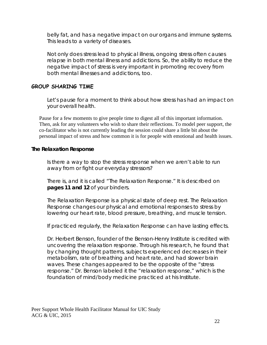belly fat, and has a negative impact on our organs and immune systems. This leads to a variety of diseases.

Not only does stress lead to physical illness, ongoing stress often causes relapse in both mental illness and addictions. So, the ability to reduce the negative impact of stress is very important in promoting recovery from both mental illnesses and addictions, too.

### **GROUP SHARING TIME**

Let's pause for a moment to think about how stress has had an impact on your overall health.

Pause for a few moments to give people time to digest all of this important information. Then, ask for any volunteers who wish to share their reflections. To model peer support, the co-facilitator who is not currently leading the session could share a little bit about the personal impact of stress and how common it is for people with emotional and health issues.

### **The Relaxation Response**

Is there a way to stop the stress response when we aren't able to run away from or fight our everyday stressors?

There is, and it is called "The Relaxation Response." It is described on **pages 11 and 12** of your binders.

The Relaxation Response is a physical state of deep rest. The Relaxation Response changes our physical and emotional responses to stress by lowering our heart rate, blood pressure, breathing, and muscle tension.

If practiced regularly, the Relaxation Response can have lasting effects.

Dr. Herbert Benson, founder of the Benson-Henry Institute is credited with uncovering the relaxation response. Through his research, he found that by changing thought patterns, subjects experienced decreases in their metabolism, rate of breathing and heart rate, and had slower brain waves. These changes appeared to be the opposite of the "stress response." Dr. Benson labeled it the "relaxation response," which is the foundation of mind/body medicine practiced at his Institute.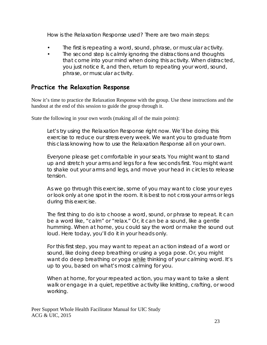How is the Relaxation Response used? There are two main steps:

- The first is repeating a word, sound, phrase, or muscular activity.
- The second step is calmly ignoring the distractions and thoughts that come into your mind when doing this activity. When distracted, you just notice it, and then, return to repeating your word, sound, phrase, or muscular activity.

# **Practice the Relaxation Response**

Now it's time to practice the Relaxation Response with the group. Use these instructions and the handout at the end of this session to guide the group through it.

State the following in your own words (making all of the main points):

Let's try using the Relaxation Response right now. We'll be doing this exercise to reduce our stress every week. We want you to graduate from this class knowing how to use the Relaxation Response all on your own.

Everyone please get comfortable in your seats. You might want to stand up and stretch your arms and legs for a few seconds first. You might want to shake out your arms and legs, and move your head in circles to release tension.

As we go through this exercise, some of you may want to close your eyes or look only at one spot in the room. It is best to not cross your arms or legs during this exercise.

The first thing to do is to choose a word, sound, or phrase to repeat. It can be a word like, "calm" or "relax." Or, it can be a sound, like a gentle humming. When at home, you could say the word or make the sound out loud. Here today, you'll do it in your heads only.

For this first step, you may want to repeat an action instead of a word or sound, like doing deep breathing or using a yoga pose. Or, you might want do deep breathing or yoga while thinking of your calming word. It's up to you, based on what's most calming for you.

When at home, for your repeated action, you may want to take a silent walk or engage in a quiet, repetitive activity like knitting, crafting, or wood working.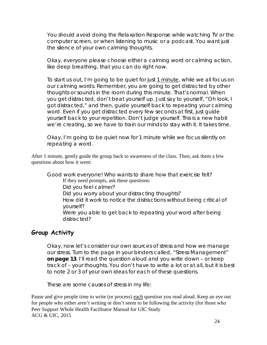You should avoid doing the Relaxation Response while watching TV or the computer screen, or when listening to music or a podcast. You want just the silence of your own calming thoughts.

Okay, everyone please choose either a calming word or calming action, like deep breathing, that you can do right now.

To start us out, I'm going to be quiet for just 1 minute, while we all focus on our calming words. Remember, you are going to get distracted by other thoughts or sounds in the room during this minute. That's normal. When you get distracted, don't beat yourself up. Just say to yourself, "Oh look, I got distracted," and then, guide yourself back to repeating your calming word. Even if you get distracted every few seconds at first, just guide yourself back to your repetition. Don't judge yourself. This is a new habit we're creating, so we have to train our minds to stay with it. It takes time.

Okay, I'm going to be quiet now for 1 minute while we focus silently on repeating a word.

After 1 minute, gently guide the group back to awareness of the class. Then, ask them a few questions about how it went:

Good work everyone! Who wants to share how that exercise felt? If they need prompts, ask these questions: Did you feel calmer? Did you worry about your distracting thoughts? How did it work to notice the distractions without being critical of yourself? Were you able to get back to repeating your word after being distracted?

### **Group Activity**

Okay, now let's consider our own sources of stress and how we manage our stress. Turn to the page in your binders called, "Stress Management" **on page 13**. I'll read the question aloud and you write down – or keep track of – your thoughts. You don't have to write a lot or at all, but it is best to note 2 or 3 of your own ideas for each of these questions.

These are some causes of stress in my life:

Peer Support Whole Health Facilitator Manual for UIC Study ACG & UIC, 2015 Pause and give people time to write (or process) each question you read aloud. Keep an eye out for people who either aren't writing or don't seem to be following the activity (for those who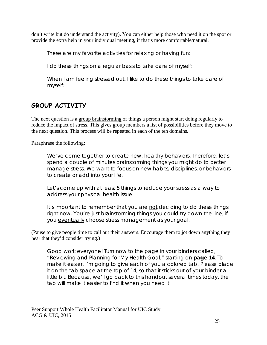don't write but do understand the activity). You can either help those who need it on the spot or provide the extra help in your individual meeting, if that's more comfortable/natural.

These are my favorite activities for relaxing or having fun:

I do these things on a regular basis to take care of myself:

When I am feeling stressed out, I like to do these things to take care of myself:

# **GROUP ACTIVITY**

The next question is a group brainstorming of things a person might start doing regularly to reduce the impact of stress. This gives group members a list of possibilities before they move to the next question. This process will be repeated in each of the ten domains.

Paraphrase the following:

We've come together to create new, healthy behaviors. Therefore, let's spend a couple of minutes brainstorming things you might do to better manage stress. We want to focus on new habits, disciplines, or behaviors to create or add into your life.

Let's come up with at least 5 things to reduce your stress as a way to address your physical health issue.

It's important to remember that you are not deciding to do these things right now. You're just brainstorming things you could try down the line, if you eventually choose stress management as your goal.

(Pause to give people time to call out their answers. Encourage them to jot down anything they hear that they'd consider trying.)

Good work everyone! Turn now to the page in your binders called, "Reviewing and Planning for My Health Goal," starting on **page 14**. To make it easier, I'm going to give each of you a colored tab. Please place it on the tab space at the top of 14, so that it sticks out of your binder a little bit. Because, we'll go back to this handout several times today, the tab will make it easier to find it when you need it.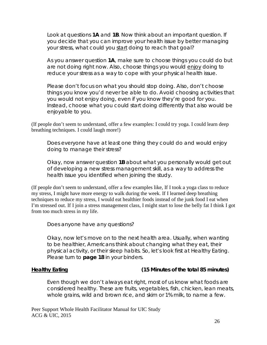Look at questions **1A** and **1B**. Now think about an important question. If you decide that you can improve your health issue by better managing your stress, what could you start doing to reach that goal?

As you answer question **1A**, make sure to choose things you could do but are not doing right now. Also, choose things you would enjoy doing to reduce your stress as a way to cope with your physical health issue.

Please don't focus on what you should stop doing. Also, don't choose things you know you'd never be able to do. Avoid choosing activities that you would not enjoy doing, even if you know they're good for you. Instead, choose what you could start doing differently that also would be enjoyable to you.

(If people don't seem to understand, offer a few examples: I could try yoga. I could learn deep breathing techniques. I could laugh more!)

Does everyone have at least one thing they could do and would enjoy doing to manage their stress?

Okay, now answer question **1B** about what you personally would get out of developing a new stress management skill, as a way to address the health issue you identified when joining the study.

(If people don't seem to understand, offer a few examples like, If I took a yoga class to reduce my stress, I might have more energy to walk during the week. If I learned deep breathing techniques to reduce my stress, I would eat healthier foods instead of the junk food I eat when I'm stressed out. If I join a stress management class, I might start to lose the belly fat I think I got from too much stress in my life.

Does anyone have any questions?

Okay, now let's move on to the next health area. Usually, when wanting to be healthier, Americans think about changing what they eat, their physical activity, or their sleep habits. So, let's look first at Healthy Eating. Please turn to **page 18** in your binders.

### **Healthy Eating (15 Minutes of the total 85 minutes)**

Even though we don't always eat right, most of us know what foods are considered healthy. These are fruits, vegetables, fish, chicken, lean meats, whole grains, wild and brown rice, and skim or 1% milk, to name a few.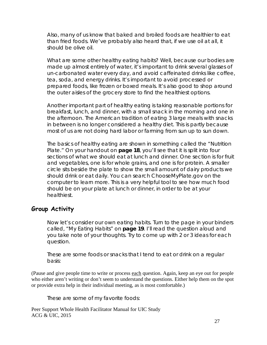Also, many of us know that baked and broiled foods are healthier to eat than fried foods. We've probably also heard that, if we use oil at all, it should be olive oil.

What are some other healthy eating habits? Well, because our bodies are made up almost entirely of water, it's important to drink several glasses of un-carbonated water every day, and avoid caffeinated drinks like coffee, tea, soda, and energy drinks. It's important to avoid processed or prepared foods, like frozen or boxed meals. It's also good to shop around the outer aisles of the grocery store to find the healthiest options.

Another important part of healthy eating is taking reasonable portions for breakfast, lunch, and dinner, with a small snack in the morning and one in the afternoon. The American tradition of eating 3 large meals with snacks in between is no longer considered a healthy diet. This is partly because most of us are not doing hard labor or farming from sun up to sun down.

The basics of healthy eating are shown in something called the "Nutrition Plate." On your handout on **page 18**, you'll see that it is split into four sections of what we should eat at lunch and dinner. One section is for fruit and vegetables, one is for whole grains, and one is for protein. A smaller circle sits beside the plate to show the small amount of dairy products we should drink or eat daily. You can search ChooseMyPlate.gov on the computer to learn more. This is a very helpful tool to see how much food should be on your plate at lunch or dinner, in order to be at your healthiest.

### **Group Activity**

Now let's consider our own eating habits. Turn to the page in your binders called, "My Eating Habits" on **page 19**. I'll read the question aloud and you take note of your thoughts. Try to come up with 2 or 3 ideas for each question.

These are some foods or snacks that I tend to eat or drink on a regular basis:

(Pause and give people time to write or process each question. Again, keep an eye out for people who either aren't writing or don't seem to understand the questions. Either help them on the spot or provide extra help in their individual meeting, as is most comfortable.)

These are some of my favorite foods: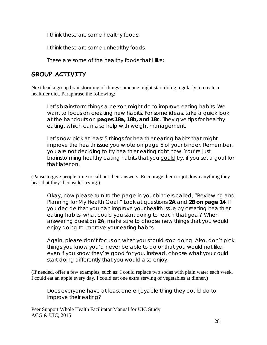I think these are some healthy foods:

I think these are some unhealthy foods:

These are some of the healthy foods that I like:

# **GROUP ACTIVITY**

Next lead a group brainstorming of things someone might start doing regularly to create a healthier diet. Paraphrase the following:

Let's brainstorm things a person might do to improve eating habits. We want to focus on creating new habits. For some ideas, take a quick look at the handouts on **pages 18a, 18b, and 18c**. They give tips for healthy eating, which can also help with weight management.

Let's now pick at least 5 things for healthier eating habits that might improve the health issue you wrote on page 5 of your binder. Remember, you are not deciding to try healthier eating right now. You're just brainstorming healthy eating habits that you could try, if you set a goal for that later on.

(Pause to give people time to call out their answers. Encourage them to jot down anything they hear that they'd consider trying.)

Okay, now please turn to the page in your binders called, "Reviewing and Planning for My Health Goal." Look at questions **2A** and **2B on page 14**. If you decide that you can improve your health issue by creating healthier eating habits, what could you start doing to reach that goal? When answering question **2A**, make sure to choose new things that you would enjoy doing to improve your eating habits.

Again, please don't focus on what you should stop doing. Also, don't pick things you know you'd never be able to do or that you would not like, even if you know they're good for you. Instead, choose what you could start doing differently that you would also enjoy.

(If needed, offer a few examples, such as: I could replace two sodas with plain water each week. I could eat an apple every day. I could eat one extra serving of vegetables at dinner.)

Does everyone have at least one enjoyable thing they could do to improve their eating?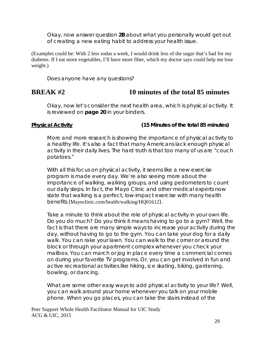Okay, now answer question **2B** about what you personally would get out of creating a new eating habit to address your health issue.

(Examples could be: With 2 less sodas a week, I would drink less of the sugar that's bad for my diabetes. If I eat more vegetables, I'll have more fiber, which my doctor says could help me lose weight.)

Does anyone have any questions?

# **BREAK #2 10 minutes of the total 85 minutes**

Okay, now let's consider the next health area, which is physical activity. It is reviewed on **page 20** in your binders.

### **Physical Activity (15 Minutes of the total 85 minutes)**

More and more research is showing the importance of physical activity to a healthy life. It's also a fact that many Americans lack enough physical activity in their daily lives. The hard truth is that too many of us are "couch potatoes."

With all this focus on physical activity, it seems like a new exercise program is made every day. We're also seeing more about the importance of walking, walking groups, and using pedometers to count our daily steps. In fact, the Mayo Clinic and other medical experts now state that walking is a perfect, low-impact exercise with many health benefits (Mayoclinic.com/health/walking/HQ01612).

Take a minute to think about the role of physical activity in your own life. Do you do much? Do you think it means having to go to a gym? Well, the fact is that there are many simple ways to increase your activity during the day, without having to go to the gym. You can take your dog for a daily walk. You can rake your lawn. You can walk to the corner or around the block or through your apartment complex whenever you check your mailbox. You can march or jog in place every time a commercial comes on during your favorite TV programs. Or, you can get involved in fun and active recreational activities like hiking, ice skating, biking, gardening, bowling, or dancing.

What are some other easy ways to add physical activity to your life? Well, you can walk around your home whenever you talk on your mobile phone. When you go places, you can take the stairs instead of the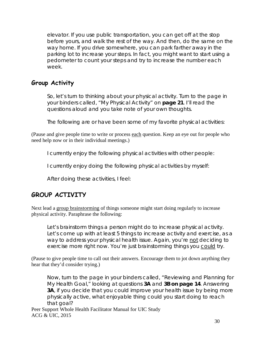elevator. If you use public transportation, you can get off at the stop before yours, and walk the rest of the way. And then, do the same on the way home. If you drive somewhere, you can park farther away in the parking lot to increase your steps. In fact, you might want to start using a pedometer to count your steps and try to increase the number each week.

# **Group Activity**

So, let's turn to thinking about your physical activity. Turn to the page in your binders called, "My Physical Activity" on **page 21**. I'll read the questions aloud and you take note of your own thoughts.

The following are or have been some of my favorite physical activities:

(Pause and give people time to write or process each question. Keep an eye out for people who need help now or in their individual meetings.)

I currently enjoy the following physical activities with other people:

I currently enjoy doing the following physical activities by myself:

After doing these activities, I feel:

# **GROUP ACTIVITY**

Next lead a group brainstorming of things someone might start doing regularly to increase physical activity. Paraphrase the following:

Let's brainstorm things a person might do to increase physical activity. Let's come up with at least 5 things to increase activity and exercise, as a way to address your physical health issue. Again, you're not deciding to exercise more right now. You're just brainstorming things you could try.

(Pause to give people time to call out their answers. Encourage them to jot down anything they hear that they'd consider trying.)

Now, turn to the page in your binders called, "Reviewing and Planning for My Health Goal," looking at questions **3A** and **3B on page 14**. Answering **3A**, if you decide that you could improve your health issue by being more physically active, what enjoyable thing could you start doing to reach that goal?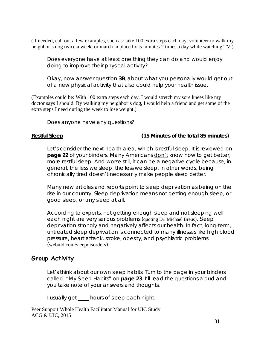(If needed, call out a few examples, such as: take 100 extra steps each day, volunteer to walk my neighbor's dog twice a week, or march in place for 5 minutes 2 times a day while watching TV.)

Does everyone have at least one thing they can do and would enjoy doing to improve their physical activity?

Okay, now answer question **3B**, about what you personally would get out of a new physical activity that also could help your health issue.

(Examples could be: With 100 extra steps each day, I would stretch my sore knees like my doctor says I should. By walking my neighbor's dog, I would help a friend and get some of the extra steps I need during the week to lose weight.)

Does anyone have any questions?

### **Restful Sleep (15 Minutes of the total 85 minutes)**

Let's consider the next health area, which is restful sleep. It is reviewed on **page 22** of your binders. Many Americans don't know how to get better, more restful sleep. And worse still, it can be a negative cycle because, in general, the less we sleep, the less we sleep. In other words, being chronically tired doesn't necessarily make people sleep better.

Many new articles and reports point to sleep deprivation as being on the rise in our country. Sleep deprivation means not getting enough sleep, or good sleep, or any sleep at all.

According to experts, not getting enough sleep and not sleeping well each night are very serious problems (quoting Dr. Michael Breus). Sleep deprivation strongly and negatively affects our health. In fact, long-term, untreated sleep deprivation is connected to many illnesses like high blood pressure, heart attack, stroke, obesity, and psychiatric problems (webmd.com/sleepdisorders).

### **Group Activity**

Let's think about our own sleep habits. Turn to the page in your binders called, "My Sleep Habits" on **page 23**. I'll read the questions aloud and you take note of your answers and thoughts.

I usually get \_\_\_\_ hours of sleep each night.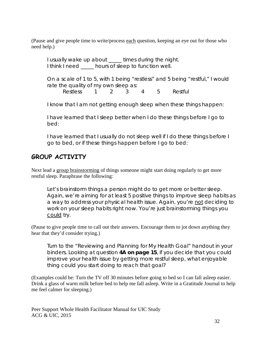(Pause and give people time to write/process each question, keeping an eye out for those who need help.)

I usually wake up about \_\_\_\_ times during the night. I think I need hours of sleep to function well.

On a scale of 1 to 5, with 1 being "restless" and 5 being "restful," I would rate the quality of my own sleep as:

Restless 1 2 3 4 5 Restful

I know that I am not getting enough sleep when these things happen:

I have learned that I sleep better when I do these things before I go to bed:

I have learned that I usually do not sleep well if I do these things before I go to bed, or if these things happen before I go to bed:

# **GROUP ACTIVITY**

Next lead a group brainstorming of things someone might start doing regularly to get more restful sleep. Paraphrase the following:

Let's brainstorm things a person might do to get more or better sleep. Again, we're aiming for at least 5 positive things to improve sleep habits as a way to address your physical health issue. Again, you're not deciding to work on your sleep habits right now. You're just brainstorming things you could try.

(Pause to give people time to call out their answers. Encourage them to jot down anything they hear that they'd consider trying.)

Turn to the "Reviewing and Planning for My Health Goal" handout in your binders. Looking at question **4A on page 15**, if you decide that you could improve your health issue by getting more restful sleep, what enjoyable thing could you start doing to reach that goal?

(Examples could be: Turn the TV off 30 minutes before going to bed so I can fall asleep easier. Drink a glass of warm milk before bed to help me fall asleep. Write in a Gratitude Journal to help me feel calmer for sleeping.)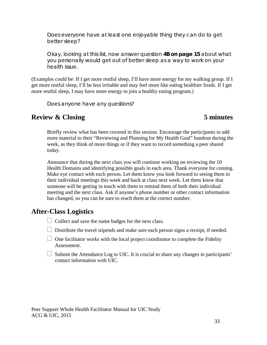Does everyone have at least one enjoyable thing they can do to get better sleep?

Okay, looking at this list, now answer question **4B on page 15** about what you personally would get out of better sleep as a way to work on your health issue.

(Examples could be: If I get more restful sleep, I'll have more energy for my walking group. If I get more restful sleep, I'll be less irritable and may feel more like eating healthier foods. If I get more restful sleep, I may have more energy to join a healthy eating program.)

Does anyone have any questions?

# **Review & Closing 5 minutes**

Briefly review what has been covered in this session. Encourage the participants to add more material to their "Reviewing and Planning for My Health Goal" handout during the week, as they think of more things or if they want to record something a peer shared today.

Announce that during the next class you will continue working on reviewing the 10 Health Domains and identifying possible goals in each area. Thank everyone for coming. Make eye contact with each person. Let them know you look forward to seeing them in their individual meetings this week and back at class next week. Let them know that someone will be getting in touch with them to remind them of both their individual meeting and the next class. Ask if anyone's phone number or other contact information has changed, so you can be sure to reach them at the correct number.

### **After-Class Logistics**

- $\Box$  Collect and save the name badges for the next class.
- $\Box$  Distribute the travel stipends and make sure each person signs a receipt, if needed.
- $\Box$  One facilitator works with the local project coordinator to complete the Fidelity Assessment.
- $\Box$  Submit the Attendance Log to UIC. It is crucial to share any changes in participants' contact information with UIC.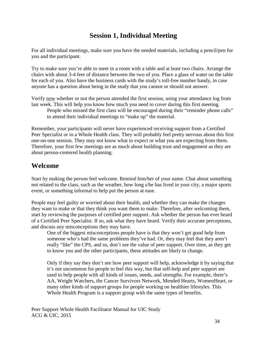# **Session 1, Individual Meeting**

For all individual meetings, make sure you have the needed materials, including a pencil/pen for you and the participant.

Try to make sure you're able to meet in a room with a table and at least two chairs. Arrange the chairs with about 3-4 feet of distance between the two of you. Place a glass of water on the table for each of you. Also have the business cards with the study's toll-free number handy, in case anyone has a question about being in the study that you cannot or should not answer.

Verify now whether or not the person attended the first session, using your attendance log from last week. This will help you know how much you need to cover during this first meeting.

People who missed the first class will be encouraged during their "reminder phone calls" to attend their individual meetings to "make up" the material.

Remember, your participants will never have experienced receiving support from a Certified Peer Specialist or in a Whole Health class. They will probably feel pretty nervous about this first one-on-one session. They may not know what to expect or what you are expecting from them. Therefore, your first few meetings are as much about building trust and engagement as they are about person-centered health planning.

# **Welcome**

Start by making the person feel welcome. Remind him/her of your name. Chat about something not related to the class, such as the weather, how long s/he has lived in your city, a major sports event, or something informal to help put the person at ease.

People may feel guilty or worried about their health, and whether they can make the changes they want to make or that they think you want them to make. Therefore, after welcoming them, start by reviewing the purposes of certified peer support. Ask whether the person has ever heard of a Certified Peer Specialist. If so, ask what they have heard. Verify their accurate perceptions, and discuss any misconceptions they may have.

One of the biggest misconceptions people have is that they won't get good help from someone who's had the same problems they've had. Or, they may feel that they aren't really "like" the CPS, and so, don't see the value of peer support. Over time, as they get to know you and the other participants, these attitudes are likely to change.

Only if they say they don't see how peer support will help, acknowledge it by saying that it's not uncommon for people to feel this way, but that self-help and peer support are used to help people with all kinds of issues, needs, and strengths. For example, there's AA, Weight Watchers, the Cancer Survivors Network, Mended Hearts, WomenHeart, or many other kinds of support groups for people working on healthier lifestyles. This Whole Health Program is a support group with the same types of benefits.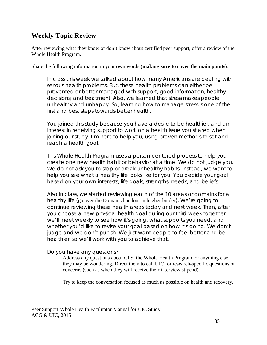# **Weekly Topic Review**

After reviewing what they know or don't know about certified peer support, offer a review of the Whole Health Program.

Share the following information in your own words (**making sure to cover the main points**):

In class this week we talked about how many Americans are dealing with serious health problems. But, these health problems can either be prevented or better managed with support, good information, healthy decisions, and treatment. Also, we learned that stress makes people unhealthy and unhappy. So, learning how to manage stress is one of the first and best steps towards better health.

You joined this study because you have a desire to be healthier, and an interest in receiving support to work on a health issue you shared when joining our study. I'm here to help you, using proven methods to set and reach a health goal.

This Whole Health Program uses a person-centered process to help you create one new health habit or behavior at a time. We do not judge you. We do not ask you to stop or break unhealthy habits. Instead, we want to help you see what a healthy life looks like for you. You decide your goal, based on your own interests, life goals, strengths, needs, and beliefs.

Also in class, we started reviewing each of the 10 areas or domains for a healthy life (go over the Domains handout in his/her binder). We're going to continue reviewing these health areas today and next week. Then, after you choose a new physical health goal during our third week together, we'll meet weekly to see how it's going, what supports you need, and whether you'd like to revise your goal based on how it's going. We don't judge and we don't punish. We just want people to feel better and be healthier, so we'll work with you to achieve that.

Do you have any questions?

Address any questions about CPS, the Whole Health Program, or anything else they may be wondering. Direct them to call UIC for research-specific questions or concerns (such as when they will receive their interview stipend).

Try to keep the conversation focused as much as possible on health and recovery.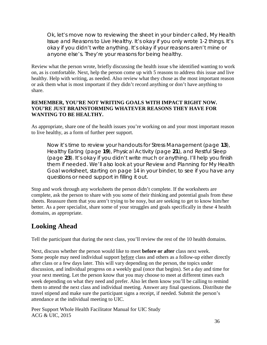Ok, let's move now to reviewing the sheet in your binder called, *My Health Issue and Reasons to Live Healthy*. It's okay if you only wrote 1-2 things. It's okay if you didn't write anything. It's okay if your reasons aren't mine or anyone else's. They're your reasons for being healthy.

Review what the person wrote, briefly discussing the health issue s/he identified wanting to work on, as is comfortable. Next, help the person come up with 5 reasons to address this issue and live healthy. Help with writing, as needed. Also review what they chose as the most important reason or ask them what is most important if they didn't record anything or don't have anything to share.

### **REMEMBER, YOU'RE NOT WRITING GOALS WITH IMPACT RIGHT NOW. YOU'RE JUST BRAINSTORMING WHATEVER REASONS THEY HAVE FOR WANTING TO BE HEALTHY.**

As appropriate, share one of the health issues you're working on and your most important reason to live healthy, as a form of further peer support.

Now it's time to review your handouts for Stress Management (page **13**), Healthy Eating (page **19**), Physical Activity (page **21**), and Restful Sleep (page **23**). It's okay if you didn't write much or anything. I'll help you finish them if needed. We'll also look at your *Review and Planning for My Health Goal* worksheet, starting on page 14 in your binder, to see if you have any questions or need support in filling it out.

Stop and work through any worksheets the person didn't complete. If the worksheets are complete, ask the person to share with you some of their thinking and potential goals from these sheets. Reassure them that you aren't trying to be nosy, but are seeking to get to know him/her better. As a peer specialist, share some of your struggles and goals specifically in these 4 health domains, as appropriate.

# **Looking Ahead**

Tell the participant that during the next class, you'll review the rest of the 10 health domains.

Next, discuss whether the person would like to meet **before or after** class next week. Some people may need individual support before class and others as a follow-up either directly after class or a few days later. This will vary depending on the person, the topics under discussion, and individual progress on a weekly goal (once that begins). Set a day and time for your next meeting. Let the person know that you may choose to meet at different times each week depending on what they need and prefer. Also let them know you'll be calling to remind them to attend the next class and individual meeting. Answer any final questions. Distribute the travel stipend and make sure the participant signs a receipt, if needed. Submit the person's attendance at the individual meeting to UIC.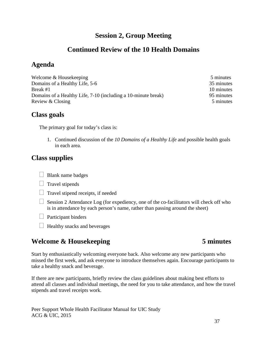## **Session 2, Group Meeting**

### **Continued Review of the 10 Health Domains**

### **Agenda**

Welcome & Housekeeping 5 minutes Domains of a Healthy Life, 5-6 35 minutes Break #1 10 minutes Domains of a Healthy Life, 7-10 (including a 10-minute break) 95 minutes Review & Closing 5 minutes

#### **Class goals**

The primary goal for today's class is:

1. Continued discussion of the *10 Domains of a Healthy Life* and possible health goals in each area.

# **Class supplies**

- $\Box$  Blank name badges
- $\Box$  Travel stipends
- $\Box$  Travel stipend receipts, if needed
- $\Box$  Session 2 Attendance Log (for expediency, one of the co-facilitators will check off who is in attendance by each person's name, rather than passing around the sheet)
- $\Box$  Participant binders
- $\Box$  Healthy snacks and beverages

# **Welcome & Housekeeping 5 minutes**

Start by enthusiastically welcoming everyone back. Also welcome any new participants who missed the first week, and ask everyone to introduce themselves again. Encourage participants to take a healthy snack and beverage.

If there are new participants, briefly review the class guidelines about making best efforts to attend all classes and individual meetings, the need for you to take attendance, and how the travel stipends and travel receipts work.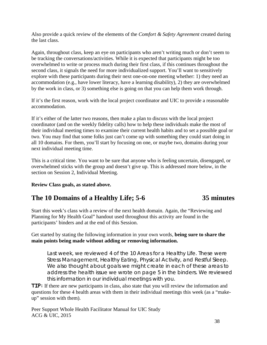Also provide a quick review of the elements of the *Comfort & Safety Agreement* created during the last class.

Again, throughout class, keep an eye on participants who aren't writing much or don't seem to be tracking the conversations/activities. While it is expected that participants might be too overwhelmed to write or process much during their first class, if this continues throughout the second class, it signals the need for more individualized support. You'll want to sensitively explore with these participants during their next one-on-one meeting whether: 1) they need an accommodation (e.g., have lower literacy, have a learning disability), 2) they are overwhelmed by the work in class, or 3) something else is going on that you can help them work through.

If it's the first reason, work with the local project coordinator and UIC to provide a reasonable accommodation.

If it's either of the latter two reasons, then make a plan to discuss with the local project coordinator (and on the weekly fidelity calls) how to help these individuals make the most of their individual meeting times to examine their current health habits and to set a possible goal or two. You may find that some folks just can't come up with something they could start doing in all 10 domains. For them, you'll start by focusing on one, or maybe two, domains during your next individual meeting time.

This is a critical time. You want to be sure that anyone who is feeling uncertain, disengaged, or overwhelmed sticks with the group and doesn't give up. This is addressed more below, in the section on Session 2, Individual Meeting.

#### **Review Class goals, as stated above.**

### **The 10 Domains of a Healthy Life; 5-6 35 minutes**

Start this week's class with a review of the next health domain. Again, the "Reviewing and Planning for My Health Goal" handout used throughout this activity are found in the participants' binders and at the end of this Session.

Get started by stating the following information in your own words, **being sure to share the main points being made without adding or removing information.** 

Last week, we reviewed 4 of the 10 Areas for a Healthy Life. These were Stress Management, Healthy Eating, Physical Activity, and Restful Sleep. We also thought about goals we might create in each of these areas to address the health issue we wrote on page 5 in the binders. We reviewed this information in our individual meetings with you.

**TIP:** If there are new participants in class, also state that you will review the information and questions for these 4 health areas with them in their individual meetings this week (as a "makeup" session with them).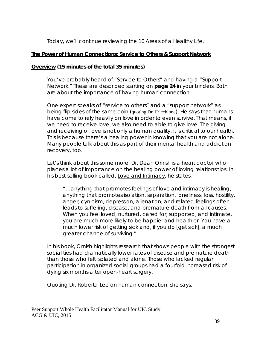Today, we'll continue reviewing the 10 Areas of a Healthy Life.

#### **The Power of Human Connections: Service to Others & Support Network**

#### **Overview (15 minutes of the total 35 minutes)**

You've probably heard of "Service to Others" and having a "Support Network." These are described starting on **page 24** in your binders. Both are about the importance of having human connection.

One expert speaks of "service to others" and a "support network" as being flip sides of the same coin (quoting Dr. Fricchione). He says that humans have come to rely heavily on love in order to even survive. That means, if we need to receive love, we also need to able to give love. The giving and receiving of love is not only a human quality, it is critical to our health. This is because there's a healing power in knowing that you are not alone. Many people talk about this as part of their mental health and addiction recovery, too.

Let's think about this some more. Dr. Dean Ornish is a heart doctor who places a lot of importance on the healing power of loving relationships. In his best-selling book called, Love and Intimacy, he states,

"…anything that promotes feelings of love and intimacy is healing; anything that promotes isolation, separation, loneliness, loss, hostility, anger, cynicism, depression, alienation, and related feelings often leads to suffering, disease, and premature death from all causes. When you feel loved, nurtured, cared for, supported, and intimate, you are much more likely to be happier and healthier. You have a much lower risk of getting sick and, if you do [get sick], a much greater chance of surviving."

In his book, Ornish highlights research that shows people with the strongest social ties had dramatically lower rates of disease and premature death than those who felt isolated and alone. Those who lacked regular participation in organized social groups had a fourfold increased risk of dying six months after open-heart surgery.

Quoting Dr. Roberta Lee on human connection, she says,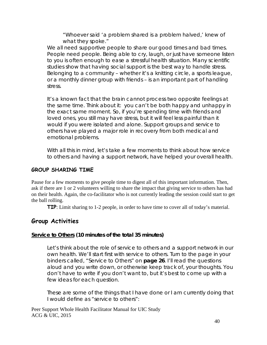"Whoever said 'a problem shared is a problem halved,' knew of what they spoke."

We all need supportive people to share our good times and bad times. People need people. Being able to cry, laugh, or just have someone listen to you is often enough to ease a stressful health situation. Many scientific studies show that having social support is the best way to handle stress. Belonging to a community – whether it's a knitting circle, a sports league, or a monthly dinner group with friends – is an important part of handling stress.

It's a known fact that the brain cannot process two opposite feelings at the same time. Think about it: you can't be both happy and unhappy in the exact same moment. So, if you're spending time with friends and loved ones, you still may have stress, but it will feel less painful than it would if you were isolated and alone. Support groups and service to others have played a major role in recovery from both medical and emotional problems.

With all this in mind, let's take a few moments to think about how service to others and having a support network, have helped your overall health.

#### **GROUP SHARING TIME**

Pause for a few moments to give people time to digest all of this important information. Then, ask if there are 1 or 2 volunteers willing to share the impact that giving service to others has had on their health. Again, the co-facilitator who is not currently leading the session could start to get the ball rolling.

**TIP**: Limit sharing to 1-2 people, in order to have time to cover all of today's material.

#### **Group Activities**

#### **Service to Others (10 minutes of the total 35 minutes)**

Let's think about the role of service to others and a support network in our own health. We'll start first with service to others. Turn to the page in your binders called, "Service to Others" on **page 26**. I'll read the questions aloud and you write down, or otherwise keep track of, your thoughts. You don't have to write if you don't want to, but it's best to come up with a few ideas for each question.

These are some of the things that I have done or I am currently doing that I would define as "service to others":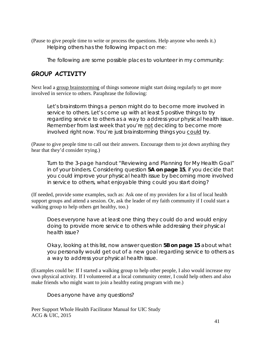(Pause to give people time to write or process the questions. Help anyone who needs it.) Helping others has the following impact on me:

The following are some possible places to volunteer in my community:

### **GROUP ACTIVITY**

Next lead a group brainstorming of things someone might start doing regularly to get more involved in service to others. Paraphrase the following:

Let's brainstorm things a person might do to become more involved in service to others. Let's come up with at least 5 positive things to try regarding service to others as a way to address your physical health issue. Remember from last week that you're not deciding to become more involved right now. You're just brainstorming things you could try.

(Pause to give people time to call out their answers. Encourage them to jot down anything they hear that they'd consider trying.)

Turn to the 3-page handout "Reviewing and Planning for My Health Goal" in of your binders. Considering question **5A on page 15**, if you decide that you could improve your physical health issue by becoming more involved in service to others, what enjoyable thing could you start doing?

(If needed, provide some examples, such as: Ask one of my providers for a list of local health support groups and attend a session. Or, ask the leader of my faith community if I could start a walking group to help others get healthy, too.)

Does everyone have at least one thing they could do and would enjoy doing to provide more service to others while addressing their physical health issue?

Okay, looking at this list, now answer question **5B on page 15** about what you personally would get out of a new goal regarding service to others as a way to address your physical health issue.

(Examples could be: If I started a walking group to help other people, I also would increase my own physical activity. If I volunteered at a local community center, I could help others and also make friends who might want to join a healthy eating program with me.)

Does anyone have any questions?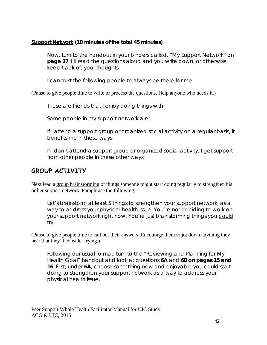#### **Support Network (10 minutes of the total 45 minutes)**

Now, turn to the handout in your binders called, "My Support Network" on **page 27**. I'll read the questions aloud and you write down, or otherwise keep track of, your thoughts.

I can trust the following people to always be there for me:

(Pause to give people time to write or process the questions. Help anyone who needs it.)

These are friends that I enjoy doing things with:

Some people in my support network are:

If I attend a support group or organized social activity on a regular basis, it benefits me in these ways:

If I don't attend a support group or organized social activity, I get support from other people in these other ways:

# **GROUP ACTIVITY**

Next lead a group brainstorming of things someone might start doing regularly to strengthen his or her support network. Paraphrase the following:

Let's brainstorm at least 5 things to strengthen your support network, as a way to address your physical health issue. You're not deciding to work on your support network right now. You're just brainstorming things you could try.

(Pause to give people time to call out their answers. Encourage them to jot down anything they hear that they'd consider trying.)

Following our usual format, turn to the "Reviewing and Planning for My Health Goal" handout and look at questions **6A** and **6B on pages 15 and 16**. First, under **6A**, choose something new and enjoyable you could start doing to strengthen your support network as a way to address your physical health issue.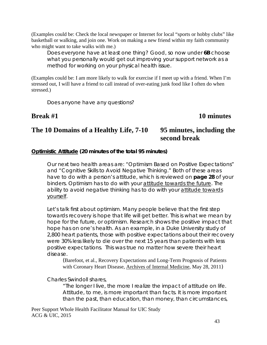(Examples could be: Check the local newspaper or Internet for local "sports or hobby clubs" like basketball or walking, and join one. Work on making a new friend within my faith community who might want to take walks with me.)

Does everyone have at least one thing? Good, so now under **6B** choose what you personally would get out improving your support network as a method for working on your physical health issue.

(Examples could be: I am more likely to walk for exercise if I meet up with a friend. When I'm stressed out, I will have a friend to call instead of over-eating junk food like I often do when stressed.)

Does anyone have any questions?

#### **Break #1** 10 minutes

# **The 10 Domains of a Healthy Life, 7-10 95 minutes, including the**

# **second break**

#### **Optimistic Attitude (20 minutes of the total 95 minutes)**

Our next two health areas are: "Optimism Based on Positive Expectations" and "Cognitive Skills to Avoid Negative Thinking." Both of these areas have to do with a person's attitude, which is reviewed on **page 28** of your binders. Optimism has to do with your attitude towards the future. The ability to avoid negative thinking has to do with your attitude towards yourself.

Let's talk first about optimism. Many people believe that the first step towards recovery is hope that life will get better. This is what we mean by hope for the future, or optimism. Research shows the positive impact that hope has on one's health. As an example, in a Duke University study of 2,800 heart patients, those with positive expectations about their recovery were 30% less likely to die over the next 15 years than patients with less positive expectations. This was true no matter how severe their heart disease.

(Barefoot, et al., Recovery Expectations and Long-Term Prognosis of Patients with Coronary Heart Disease, Archives of Internal Medicine, May 28, 2011)

Charles Swindoll shares,

"The longer I live, the more I realize the impact of attitude on life. Attitude, to me, is more important than facts. It is more important than the past, than education, than money, than circumstances,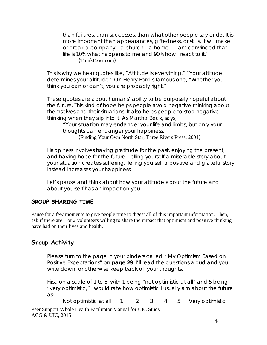than failures, than successes, than what other people say or do. It is more important than appearances, giftedness, or skills. It will make or break a company…a church…a home… I am convinced that life is 10% what happens to me and 90% how I react to it." (ThinkExist.com)

This is why we hear quotes like, "Attitude is everything." "Your attitude determines your altitude." Or, Henry Ford's famous one, "Whether you think you can or can't, you are probably right."

These quotes are about humans' ability to be purposely hopeful about the future. This kind of hope helps people avoid negative thinking about themselves and their situations. It also helps people to stop negative thinking when they slip into it. As Martha Beck, says,

"Your situation may endanger your life and limbs, but only your thoughts can endanger your happiness." (Finding Your Own North Star, Three Rivers Press, 2001)

Happiness involves having gratitude for the past, enjoying the present, and having hope for the future. Telling yourself a miserable story about your situation creates suffering. Telling yourself a positive and grateful story instead increases your happiness.

Let's pause and think about how your attitude about the future and about yourself has an impact on you.

#### **GROUP SHARING TIME**

Pause for a few moments to give people time to digest all of this important information. Then, ask if there are 1 or 2 volunteers willing to share the impact that optimism and positive thinking have had on their lives and health.

### **Group Activity**

Please turn to the page in your binders called, "My Optimism Based on Positive Expectations" on **page 29**. I'll read the questions aloud and you write down, or otherwise keep track of, your thoughts.

First, on a scale of 1 to 5, with 1 being "not optimistic at all" and 5 being "very optimistic," I would rate how optimistic I usually am about the future as:

Not optimistic at all  $1 \t 2 \t 3 \t 4 \t 5$  Very optimistic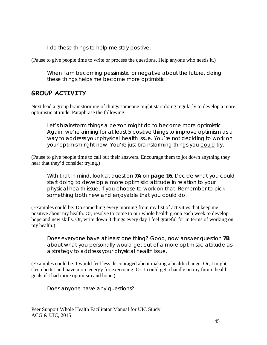I do these things to help me stay positive:

(Pause to give people time to write or process the questions. Help anyone who needs it.)

When I am becoming pessimistic or negative about the future, doing these things helps me become more optimistic:

## **GROUP ACTIVITY**

Next lead a group brainstorming of things someone might start doing regularly to develop a more optimistic attitude. Paraphrase the following:

Let's brainstorm things a person might do to become more optimistic. Again, we're aiming for at least 5 positive things to improve optimism as a way to address your physical health issue. You're not deciding to work on your optimism right now. You're just brainstorming things you could try.

(Pause to give people time to call out their answers. Encourage them to jot down anything they hear that they'd consider trying.)

With that in mind, look at question **7A** on **page 16**. Decide what you could start doing to develop a more optimistic attitude in relation to your physical health issue, if you choose to work on that. Remember to pick something both new and enjoyable that you could do.

(Examples could be: Do something every morning from my list of activities that keep me positive about my health. Or, resolve to come to our whole health group each week to develop hope and new skills. Or, write down 3 things every day I feel grateful for in terms of working on my health.)

Does everyone have at least one thing? Good, now answer question **7B** about what you personally would get out of a more optimistic attitude as a strategy to address your physical health issue.

(Examples could be: I would feel less discouraged about making a health change. Or, I might sleep better and have more energy for exercising. Or, I could get a handle on my future health goals if I had more optimism and hope.)

Does anyone have any questions?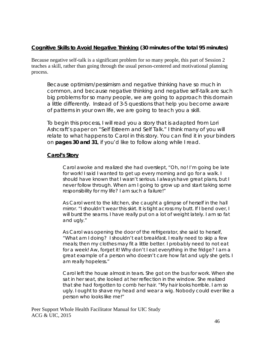#### **Cognitive Skills to Avoid Negative Thinking (30 minutes of the total 95 minutes)**

Because negative self-talk is a significant problem for so many people, this part of Session 2 teaches a skill, rather than going through the usual person-centered and motivational planning process.

Because optimism/pessimism and negative thinking have so much in common, and because negative thinking and negative self-talk are such big problems for so many people, we are going to approach this domain a little differently. Instead of 3-5 questions that help you become aware of patterns in your own life, we are going to teach you a skill.

To begin this process, I will read you a story that is adapted from Lori Ashcraft's paper on "Self Esteem and Self Talk." I think many of you will relate to what happens to Carol in this story. You can find it in your binders on **pages 30 and 31**, if you'd like to follow along while I read.

#### **Carol's Story**

Carol awoke and realized she had overslept, "Oh, no! I'm going be late for work! I said I wanted to get up every morning and go for a walk. I should have known that I wasn't serious. I always have great plans, but I never follow through. When am I going to grow up and start taking some responsibility for my life? I am such a failure!"

As Carol went to the kitchen, she caught a glimpse of herself in the hall mirror. "I shouldn't wear this skirt. It is tight across my butt. If I bend over, I will burst the seams. I have really put on a lot of weight lately. I am so fat and ugly."

As Carol was opening the door of the refrigerator, she said to herself, "What am I doing? I shouldn't eat breakfast. I really need to skip a few meals; then my clothes may fit a little better. I probably need to not eat for a week! Aw, forget it! Why don't I eat everything in the fridge? I am a great example of a person who doesn't care how fat and ugly she gets. I am really hopeless."

Carol left the house almost in tears. She got on the bus for work. When she sat in her seat, she looked at her reflection in the window. She realized that she had forgotten to comb her hair. "My hair looks horrible. I am so ugly. I ought to shave my head and wear a wig. Nobody could ever like a person who looks like me!"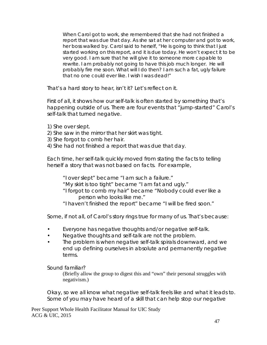When Carol got to work, she remembered that she had not finished a report that was due that day. As she sat at her computer and got to work, her boss walked by. Carol said to herself, "He is going to think that I just started working on this report, and it is due today. He won't expect it to be very good. I am sure that he will give it to someone more capable to rewrite. I am probably not going to have this job much longer. He will probably fire me soon. What will I do then? I am such a fat, ugly failure that no one could ever like. I wish I was dead!"

That's a hard story to hear, isn't it? Let's reflect on it.

First of all, it shows how our self-talk is often started by something that's happening outside of us. There are four events that "jump-started" Carol's self-talk that turned negative.

- 1) She over slept.
- 2) She saw in the mirror that her skirt was tight.
- 3) She forgot to comb her hair.
- 4) She had not finished a report that was due that day.

Each time, her self-talk quickly moved from stating the facts to telling herself a story that was not based on facts. For example,

- "I over slept" became "I am such a failure."
- "My skirt is too tight" became "I am fat and ugly."
- "I forgot to comb my hair" became "Nobody could ever like a person who looks like me."
- "I haven't finished the report" became "I will be fired soon."

Some, if not all, of Carol's story rings true for many of us. That's because:

- Everyone has negative thoughts and/or negative self-talk.
- Negative thoughts and self-talk are not the problem.
- The problem is when negative self-talk spirals downward, and we end up defining ourselves in absolute and permanently negative terms.

Sound familiar?

(Briefly allow the group to digest this and "own" their personal struggles with negativism.)

Okay, so we all know what negative self-talk feels like and what it leads to. Some of you may have heard of a skill that can help stop our negative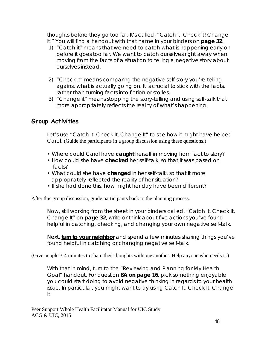thoughts before they go too far. It's called, "Catch it! Check it! Change it!" You will find a handout with that name in your binders on **page 32**.

- 1) "Catch it" means that we need to catch what is happening early on before it goes too far. We want to catch ourselves right away when moving from the facts of a situation to telling a negative story about ourselves instead.
- 2) "Check it" means comparing the negative self-story you're telling against what is actually going on. It is crucial to stick with the facts, rather than turning facts into fiction or stories.
- 3) "Change it" means stopping the story-telling and using self-talk that more appropriately reflects the reality of what's happening.

#### **Group Activities**

Let's use "Catch It, Check It, Change It" to see how it might have helped Carol. (Guide the participants in a group discussion using these questions.)

- Where could Carol have **caught** herself in moving from fact to story?
- How could she have **checked** her self-talk, so that it was based on facts?
- What could she have **changed** in her self-talk, so that it more appropriately reflected the reality of her situation?
- If she had done this, how might her day have been different?

After this group discussion, guide participants back to the planning process.

Now, still working from the sheet in your binders called, "Catch It, Check It, Change It" on **page 32**, write or think about five actions you've found helpful in catching, checking, and changing your own negative self-talk.

Next, **turn to your neighbor** and spend a few minutes sharing things you've found helpful in catching or changing negative self-talk.

(Give people 3-4 minutes to share their thoughts with one another. Help anyone who needs it.)

With that in mind, turn to the "Reviewing and Planning for My Health Goal" handout. For question **8A on page 16**, pick something enjoyable you could start doing to avoid negative thinking in regards to your health issue. In particular, you might want to try using Catch It, Check It, Change It.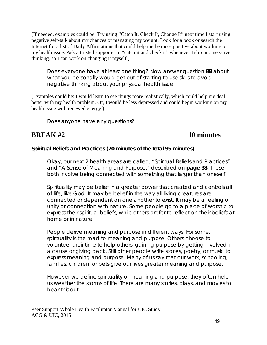(If needed, examples could be: Try using "Catch It, Check It, Change It" next time I start using negative self-talk about my chances of managing my weight. Look for a book or search the Internet for a list of Daily Affirmations that could help me be more positive about working on my health issue. Ask a trusted supporter to "catch it and check it" whenever I slip into negative thinking, so I can work on changing it myself.)

Does everyone have at least one thing? Now answer question **8B** about what you personally would get out of starting to use skills to avoid negative thinking about your physical health issue.

(Examples could be: I would learn to see things more realistically, which could help me deal better with my health problem. Or, I would be less depressed and could begin working on my health issue with renewed energy.)

Does anyone have any questions?

## **BREAK #2 10 minutes**

#### **Spiritual Beliefs and Practices (20 minutes of the total 95 minutes)**

Okay, our next 2 health areas are called, "Spiritual Beliefs and Practices" and "A Sense of Meaning and Purpose," described on **page 33**. These both involve being connected with something that larger than oneself.

Spirituality may be belief in a greater power that created and controls all of life, like God. It may be belief in the way all living creatures are connected or dependent on one another to exist. It may be a feeling of unity or connection with nature. Some people go to a place of worship to express their spiritual beliefs, while others prefer to reflect on their beliefs at home or in nature.

People derive meaning and purpose in different ways. For some, spirituality is the road to meaning and purpose. Others choose to volunteer their time to help others, gaining purpose by getting involved in a cause or giving back. Still other people write stories, poetry, or music to express meaning and purpose. Many of us say that our work, schooling, families, children, or pets give our lives greater meaning and purpose.

However we define spirituality or meaning and purpose, they often help us weather the storms of life. There are many stories, plays, and movies to bear this out.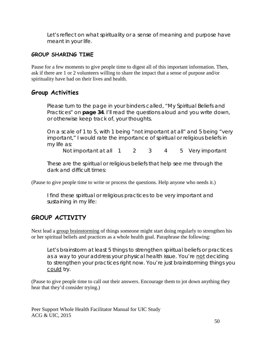Let's reflect on what spirituality or a sense of meaning and purpose have meant in your life.

#### **GROUP SHARING TIME**

Pause for a few moments to give people time to digest all of this important information. Then, ask if there are 1 or 2 volunteers willing to share the impact that a sense of purpose and/or spirituality have had on their lives and health.

#### **Group Activities**

Please turn to the page in your binders called, "My Spiritual Beliefs and Practices" on **page 34**. I'll read the questions aloud and you write down, or otherwise keep track of, your thoughts.

On a scale of 1 to 5, with 1 being "not important at all" and 5 being "very important," I would rate the importance of spiritual or religious beliefs in my life as:

Not important at all 1 2 3 4 5 Very important

These are the spiritual or religious beliefs that help see me through the dark and difficult times:

(Pause to give people time to write or process the questions. Help anyone who needs it.)

I find these spiritual or religious practices to be very important and sustaining in my life:

# **GROUP ACTIVITY**

Next lead a group brainstorming of things someone might start doing regularly to strengthen his or her spiritual beliefs and practices as a whole health goal. Paraphrase the following:

Let's brainstorm at least 5 things to strengthen spiritual beliefs or practices as a way to your address your physical health issue. You're not deciding to strengthen your practices right now. You're just brainstorming things you could try.

(Pause to give people time to call out their answers. Encourage them to jot down anything they hear that they'd consider trying.)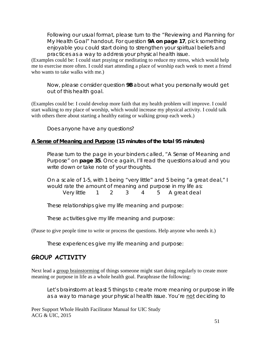Following our usual format, please turn to the "Reviewing and Planning for My Health Goal" handout. For question **9A on page 17**, pick something enjoyable you could start doing to strengthen your spiritual beliefs and practices as a way to address your physical health issue.

(Examples could be: I could start praying or meditating to reduce my stress, which would help me to exercise more often. I could start attending a place of worship each week to meet a friend who wants to take walks with me.)

Now, please consider question **9B** about what you personally would get out of this health goal.

(Examples could be: I could develop more faith that my health problem will improve. I could start walking to my place of worship, which would increase my physical activity. I could talk with others there about starting a healthy eating or walking group each week.)

Does anyone have any questions?

#### **A Sense of Meaning and Purpose (15 minutes of the total 95 minutes)**

Please turn to the page in your binders called, "A Sense of Meaning and Purpose" on **page 35**. Once again, I'll read the questions aloud and you write down or take note of your thoughts.

On a scale of 1-5, with 1 being "very little" and 5 being "a great deal," I would rate the amount of meaning and purpose in my life as: Very little 1 2 3 4 5 A great deal

These relationships give my life meaning and purpose:

These activities give my life meaning and purpose:

(Pause to give people time to write or process the questions. Help anyone who needs it.)

These experiences give my life meaning and purpose:

### **GROUP ACTIVITY**

Next lead a group brainstorming of things someone might start doing regularly to create more meaning or purpose in life as a whole health goal. Paraphrase the following:

Let's brainstorm at least 5 things to create more meaning or purpose in life as a way to manage your physical health issue. You're not deciding to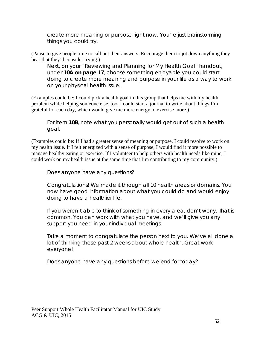create more meaning or purpose right now. You're just brainstorming things you could try.

(Pause to give people time to call out their answers. Encourage them to jot down anything they hear that they'd consider trying.)

Next, on your "Reviewing and Planning for My Health Goal" handout, under **10A on page 17**, choose something enjoyable you could start doing to create more meaning and purpose in your life as a way to work on your physical health issue.

(Examples could be: I could pick a health goal in this group that helps me with my health problem while helping someone else, too. I could start a journal to write about things I'm grateful for each day, which would give me more energy to exercise more.)

For item **10B**, note what you personally would get out of such a health goal.

(Examples could be: If I had a greater sense of meaning or purpose, I could resolve to work on my health issue. If I felt energized with a sense of purpose, I would find it more possible to manage healthy eating or exercise. If I volunteer to help others with health needs like mine, I could work on my health issue at the same time that I'm contributing to my community.)

Does anyone have any questions?

Congratulations! We made it through all 10 health areas or domains. You now have good information about what you could do and would enjoy doing to have a healthier life.

If you weren't able to think of something in every area, don't worry. That is common. You can work with what you have, and we'll give you any support you need in your individual meetings.

Take a moment to congratulate the person next to you. We've all done a lot of thinking these past 2 weeks about whole health. Great work everyone!

Does anyone have any questions before we end for today?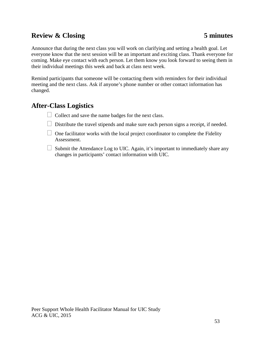# **Review & Closing 5 minutes**

Announce that during the next class you will work on clarifying and setting a health goal. Let everyone know that the next session will be an important and exciting class. Thank everyone for coming. Make eye contact with each person. Let them know you look forward to seeing them in their individual meetings this week and back at class next week.

Remind participants that someone will be contacting them with reminders for their individual meeting and the next class. Ask if anyone's phone number or other contact information has changed.

#### **After-Class Logistics**

- $\Box$  Collect and save the name badges for the next class.
- $\Box$  Distribute the travel stipends and make sure each person signs a receipt, if needed.
- $\Box$  One facilitator works with the local project coordinator to complete the Fidelity Assessment.
- $\Box$  Submit the Attendance Log to UIC. Again, it's important to immediately share any changes in participants' contact information with UIC.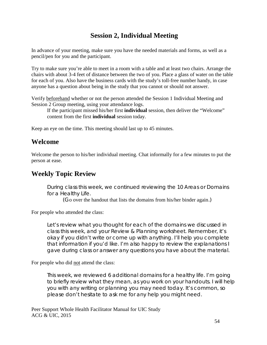# **Session 2, Individual Meeting**

In advance of your meeting, make sure you have the needed materials and forms, as well as a pencil/pen for you and the participant.

Try to make sure you're able to meet in a room with a table and at least two chairs. Arrange the chairs with about 3-4 feet of distance between the two of you. Place a glass of water on the table for each of you. Also have the business cards with the study's toll-free number handy, in case anyone has a question about being in the study that you cannot or should not answer.

Verify beforehand whether or not the person attended the Session 1 Individual Meeting and Session 2 Group meeting, using your attendance logs.

If the participant missed his/her first **individual** session, then deliver the "Welcome" content from the first **individual** session today.

Keep an eye on the time. This meeting should last up to 45 minutes.

### **Welcome**

Welcome the person to his/her individual meeting. Chat informally for a few minutes to put the person at ease.

### **Weekly Topic Review**

During class this week, we continued reviewing the 10 Areas or Domains for a Healthy Life.

(Go over the handout that lists the domains from his/her binder again.)

For people who attended the class:

Let's review what you thought for each of the domains we discussed in class this week, and your Review & Planning worksheet. Remember, it's okay if you didn't write or come up with anything. I'll help you complete that information if you'd like. I'm also happy to review the explanations I gave during class or answer any questions you have about the material.

For people who did not attend the class:

This week, we reviewed 6 additional domains for a healthy life. I'm going to briefly review what they mean, as you work on your handouts. I will help you with any writing or planning you may need today. It's common, so please don't hesitate to ask me for any help you might need.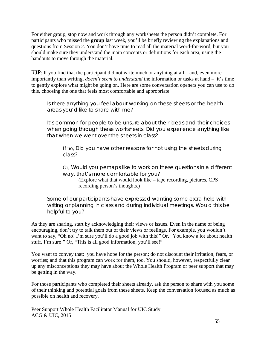For either group, stop now and work through any worksheets the person didn't complete. For participants who missed the **group** last week, you'll be briefly reviewing the explanations and questions from Session 2. You don't have time to read all the material word-for-word, but you should make sure they understand the main concepts or definitions for each area, using the handouts to move through the material.

**TIP**: If you find that the participant did not write much or anything at all – and, even more importantly than writing, *doesn't seem to understand* the information or tasks at hand – it's time to gently explore what might be going on. Here are some conversation openers you can use to do this, choosing the one that feels most comfortable and appropriate:

Is there anything you feel about working on these sheets or the health areas you'd like to share with me?

It's common for people to be unsure about their ideas and their choices when going through these worksheets. Did you experience anything like that when we went over the sheets in class?

If no, Did you have other reasons for not using the sheets during class?

Or, Would you perhaps like to work on these questions in a different way, that's more comfortable for you?

(Explore what that would look like – tape recording, pictures, CPS recording person's thoughts.)

Some of our participants have expressed wanting some extra help with writing or planning in class and during individual meetings. Would this be helpful to you?

As they are sharing, start by acknowledging their views or issues. Even in the name of being encouraging, don't try to talk them out of their views or feelings. For example, you wouldn't want to say, "Oh no! I'm sure you'll do a good job with this!" Or, "You know a lot about health stuff, I'm sure!" Or, "This is all good information, you'll see!"

You want to convey that: you have hope for the person; do not discount their irritation, fears, or worries; and that this program can work for them, too. You should, however, respectfully clear up any misconceptions they may have about the Whole Health Program or peer support that may be getting in the way.

For those participants who completed their sheets already, ask the person to share with you some of their thinking and potential goals from these sheets. Keep the conversation focused as much as possible on health and recovery.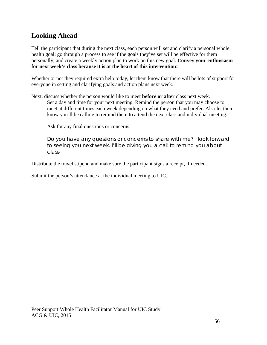# **Looking Ahead**

Tell the participant that during the next class, each person will set and clarify a personal whole health goal; go through a process to see if the goals they've set will be effective for them personally; and create a weekly action plan to work on this new goal. **Convey your enthusiasm for next week's class because it is at the heart of this intervention!**

Whether or not they required extra help today, let them know that there will be lots of support for everyone in setting and clarifying goals and action plans next week.

Next, discuss whether the person would like to meet **before or after** class next week.

Set a day and time for your next meeting. Remind the person that you may choose to meet at different times each week depending on what they need and prefer. Also let them know you'll be calling to remind them to attend the next class and individual meeting.

Ask for any final questions or concerns:

Do you have any questions or concerns to share with me? I look forward to seeing you next week. I'll be giving you a call to remind you about class.

Distribute the travel stipend and make sure the participant signs a receipt, if needed.

Submit the person's attendance at the individual meeting to UIC.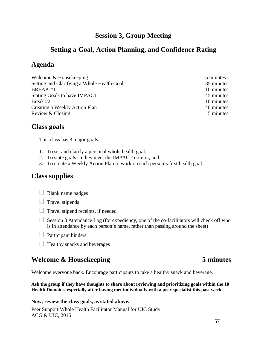### **Session 3, Group Meeting**

### **Setting a Goal, Action Planning, and Confidence Rating**

### **Agenda**

Welcome & Housekeeping 5 minutes Setting and Clarifying a Whole Health Goal 35 minutes  $BREAK #1$  10 minutes Stating Goals to have IMPACT 45 minutes Break #2 10 minutes Creating a Weekly Action Plan 40 minutes Review & Closing 5 minutes

#### **Class goals**

This class has 3 major goals:

- 1. To set and clarify a personal whole health goal;
- 2. To state goals so they meet the IMPACT criteria; and
- 3. To create a Weekly Action Plan to work on each person's first health goal.

#### **Class supplies**

 $\Box$  Blank name badges



- $\Box$  Travel stipend receipts, if needed
- $\Box$  Session 3 Attendance Log (for expediency, one of the co-facilitators will check off who is in attendance by each person's name, rather than passing around the sheet)
- $\Box$  Participant binders
- $\Box$  Healthy snacks and beverages

# **Welcome & Housekeeping 5 minutes**

Welcome everyone back. Encourage participants to take a healthy snack and beverage.

**Ask the group if they have thoughts to share about reviewing and prioritizing goals within the 10 Health Domains, especially after having met individually with a peer specialist this past week.** 

#### **Now, review the class goals, as stated above.**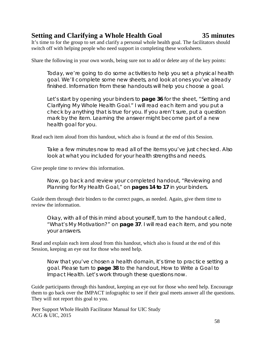## **Setting and Clarifying a Whole Health Goal 35 minutes**

It's time to for the group to set and clarify a personal whole health goal. The facilitators should switch off with helping people who need support in completing these worksheets.

Share the following in your own words, being sure not to add or delete any of the key points:

Today, we're going to do some activities to help you set a physical health goal. We'll complete some new sheets, and look at ones you've already finished. Information from these handouts will help you choose a goal.

Let's start by opening your binders to **page 36** for the sheet, "Setting and Clarifying My Whole Health Goal." I will read each item and you put a check by anything that is true for you. If you aren't sure, put a question mark by the item. Learning the answer might become part of a new health goal for you.

Read each item aloud from this handout, which also is found at the end of this Session.

Take a few minutes now to read all of the items you've just checked. Also look at what you included for your health strengths and needs.

Give people time to review this information.

Now, go back and review your completed handout, "Reviewing and Planning for My Health Goal," on **pages 14 to 17** in your binders.

Guide them through their binders to the correct pages, as needed. Again, give them time to review the information.

Okay, with all of this in mind about yourself, turn to the handout called, "What's My Motivation?" on **page 37**. I will read each item, and you note your answers.

Read and explain each item aloud from this handout, which also is found at the end of this Session, keeping an eye out for those who need help.

Now that you've chosen a health domain, it's time to practice setting a goal. Please turn to **page 38** to the handout, *How to Write a Goal to Impact Health.* Let's work through these questions now.

Guide participants through this handout, keeping an eye out for those who need help. Encourage them to go back over the IMPACT infographic to see if their goal meets answer all the questions. They will not report this goal to you.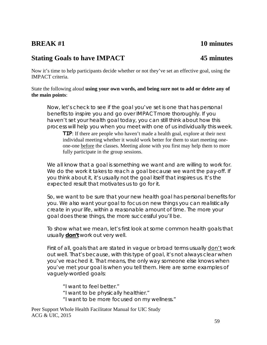#### **BREAK #1** 10 minutes

### **Stating Goals to have IMPACT 45 minutes**

Now it's time to help participants decide whether or not they've set an effective goal, using the IMPACT criteria.

State the following aloud **using your own words, and being sure not to add or delete any of the main points**:

Now, let's check to see if the goal you've set is one that has personal benefits to inspire you and go over IMPACT more thoroughly. If you haven't set your health goal today, you can still think about how this process will help you when you meet with one of us individually this week.

**TIP**: If there are people who haven't made a health goal, explore at their next individual meeting whether it would work better for them to start meeting oneone-one before the classes. Meeting alone with you first may help them to more fully participate in the group sessions.

We all know that a goal is something we want and are willing to work for. We do the work it takes to reach a goal because we want the pay-off. If you think about it, it's usually not the goal itself that inspires us. It's the expected result that motivates us to go for it.

So, we want to be sure that your new health goal has personal benefits for you. We also want your goal to focus on new things you can realistically create in your life, within a reasonable amount of time. The more your goal does these things, the more successful you'll be.

To show what we mean, let's first look at some common health goals that usually **don't** work out very well.

First of all, goals that are stated in vague or broad terms usually don't work out well. That's because, with this type of goal, it's not always clear when you've reached it. That means, the only way someone else knows when you've met your goal is when you tell them. Here are some examples of vaguely-worded goals:

"I want to feel better." "I want to be physically healthier." "I want to be more focused on my wellness."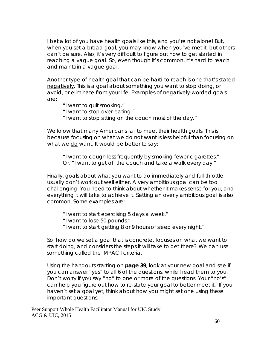I bet a lot of you have health goals like this, and you're not alone! But, when you set a broad goal, you may know when you've met it, but others can't be sure. Also, it's very difficult to figure out how to get started in reaching a vague goal. So, even though it's common, it's hard to reach and maintain a vague goal.

Another type of health goal that can be hard to reach is one that's stated negatively. This is a goal about something you want to stop doing, or avoid, or eliminate from your life. Examples of negatively-worded goals are:

"I want to quit smoking."

"I want to stop over-eating."

"I want to stop sitting on the couch most of the day."

We know that many Americans fail to meet their health goals. This is because focusing on what we do not want is less helpful than focusing on what we do want. It would be better to say:

"I want to cough less frequently by smoking fewer cigarettes." Or, "I want to get off the couch and take a walk every day."

Finally, goals about what you want to do immediately and full-throttle usually don't work out well either. A very ambitious goal can be too challenging. You need to think about whether it makes sense for you, and everything it will take to achieve it. Setting an overly ambitious goal is also common. Some examples are:

"I want to start exercising 5 days a week."

"I want to lose 50 pounds."

"I want to start getting 8 or 9 hours of sleep every night."

So, how do we set a goal that is concrete, focuses on what we want to start doing, and considers the steps it will take to get there? We can use something called the IMPACT criteria.

Using the handouts starting on **page 39**, look at your new goal and see if you can answer "yes" to all 6 of the questions, while I read them to you. Don't worry if you say "no" to one or more of the questions. Your "no's" can help you figure out how to re-state your goal to better meet it. If you haven't set a goal yet, think about how you might set one using these important questions.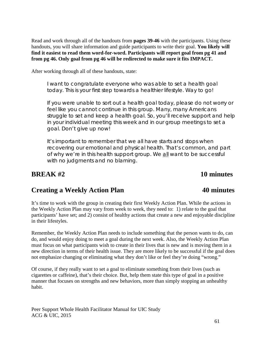Read and work through all of the handouts from **pages 39-46** with the participants. Using these handouts, you will share information and guide participants to write their goal. **You likely will find it easiest to read them word-for-word. Participants will report goal from pg 41 and from pg 46. Only goal from pg 46 will be redirected to make sure it fits IMPACT.**

After working through all of these handouts, state:

I want to congratulate everyone who was able to set a health goal today. This is your first step towards a healthier lifestyle. Way to go!

If you were unable to sort out a health goal today, please do not worry or feel like you cannot continue in this group. Many, many Americans struggle to set and keep a health goal. So, you'll receive support and help in your individual meeting this week and in our group meetings to set a goal. Don't give up now!

It's important to remember that we all have starts and stops when recovering our emotional and physical health. That's common, and part of why we're in this health support group. We all want to be successful with no judgments and no blaming.

### **BREAK #2** 10 minutes

# **Creating a Weekly Action Plan 40 minutes**

It's time to work with the group in creating their first Weekly Action Plan. While the actions in the Weekly Action Plan may vary from week to week, they need to: 1) relate to the goal that participants' have set; and 2) consist of healthy actions that create a new and enjoyable discipline in their lifestyles.

Remember, the Weekly Action Plan needs to include something that the person wants to do, can do, and would enjoy doing to meet a goal during the next week. Also, the Weekly Action Plan must focus on what participants wish to create in their lives that is new and is moving them in a new direction in terms of their health issue. They are more likely to be successful if the goal does not emphasize changing or eliminating what they don't like or feel they're doing "wrong."

Of course, if they really want to set a goal to eliminate something from their lives (such as cigarettes or caffeine), that's their choice. But, help them state this type of goal in a positive manner that focuses on strengths and new behaviors, more than simply stopping an unhealthy habit.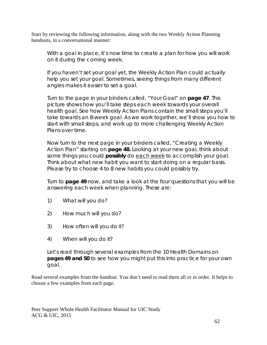Start by reviewing the following information, along with the two Weekly Action Planning handouts, in a conversational manner:

With a goal in place, it's now time to create a plan for how you will work on it during the coming week.

If you haven't set your goal yet, the Weekly Action Plan could actually help you set your goal. Sometimes, seeing things from many different angles makes it easier to set a goal.

Turn to the page in your binders called, "Your Goal" on **page 47**. This picture shows how you'll take steps each week towards your overall health goal. See how Weekly Action Plans contain the small steps you'll take towards an 8-week goal. As we work together, we'll show you how to start with small steps, and work up to more challenging Weekly Action Plans over time.

Now turn to the next page in your binders called, "Creating a Weekly Action Plan" starting on **page 48.** Looking at your new goal, think about some things you could **possibly** do each week to accomplish your goal. Think about what new habit you want to start doing on a regular basis. Please try to choose 4 to 8 new habits you could possibly try.

Turn to **page 49** now, and take a look at the four questions that you will be answering each week when planning. These are:

- 1) What will you do?
- 2) How much will you do?
- 3) How often will you do it?
- 4) When will you do it?

Let's read through several examples from the 10 Health Domains on **pages 49 and 50** to see how you might put this into practice for your own goal.

Read several examples from the handout. You don't need to read them all or in order. It helps to choose a few examples from each page.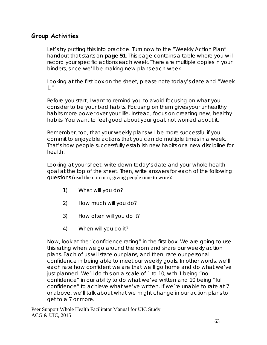#### **Group Activities**

Let's try putting this into practice. Turn now to the "Weekly Action Plan" handout that starts on **page 51**. This page contains a table where you will record your specific actions each week. There are multiple copies in your binders, since we'll be making new plans each week.

Looking at the first box on the sheet, please note today's date and "Week 1."

Before you start, I want to remind you to avoid focusing on what you consider to be your bad habits. Focusing on them gives your unhealthy habits more power over your life. Instead, focus on creating new, healthy habits. You want to feel good about your goal, not worried about it.

Remember, too, that your weekly plans will be more successful if you commit to enjoyable actions that you can do multiple times in a week. That's how people successfully establish new habits or a new discipline for health.

Looking at your sheet, write down today's date and your whole health goal at the top of the sheet. Then, write answers for each of the following questions (read them in turn, giving people time to write):

- 1) What will you do?
- 2) How much will you do?
- 3) How often will you do it?
- 4) When will you do it?

Now, look at the "confidence rating" in the first box. We are going to use this rating when we go around the room and share our weekly action plans. Each of us will state our plans, and then, rate our personal confidence in being able to meet our weekly goals. In other words, we'll each rate how confident we are that we'll go home and do what we've just planned. We'll do this on a scale of 1 to 10, with 1 being "no confidence" in our ability to do what we've written and 10 being "full confidence" to achieve what we've written. If we're unable to rate at 7 or above, we'll talk about what we might change in our action plans to get to a 7 or more.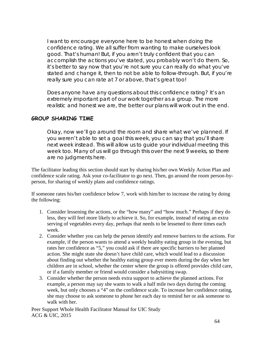I want to encourage everyone here to be honest when doing the confidence rating. We all suffer from wanting to make ourselves look good. That's human! But, if you aren't truly confident that you can accomplish the actions you've stated, you probably won't do them. So, it's better to say now that you're not sure you can really do what you've stated and change it, then to not be able to follow-through. But, if you're really sure you can rate at 7 or above, that's great too!

Does anyone have any questions about this confidence rating? It's an extremely important part of our work together as a group. The more realistic and honest we are, the better our plans will work out in the end.

#### **GROUP SHARING TIME**

Okay, now we'll go around the room and share what we've planned. If you weren't able to set a goal this week, you can say that you'll share next week instead. This will allow us to guide your individual meeting this week too. Many of us will go through this over the next 9 weeks, so there are no judgments here.

The facilitator leading this section should start by sharing his/her own Weekly Action Plan and confidence scale rating. Ask your co-facilitator to go next. Then, go around the room person-byperson, for sharing of weekly plans and confidence ratings.

If someone rates his/her confidence below 7, work with him/her to increase the rating by doing the following:

- 1. Consider lessening the actions, or the "how many" and "how much." Perhaps if they do less, they will feel more likely to achieve it. So, for example, instead of eating an extra serving of vegetables every day, perhaps that needs to be lessened to three times each week.
- 2. Consider whether you can help the person identify and remove barriers to the actions. For example, if the person wants to attend a weekly healthy eating group in the evening, but rates her confidence as "5," you could ask if there are specific barriers to her planned action. She might state she doesn't have child care, which would lead to a discussion about finding out whether the healthy eating group ever meets during the day when her children are in school, whether the center where the group is offered provides child care, or if a family member or friend would consider a babysitting swap.
- 3. Consider whether the person needs extra support to achieve the planned actions. For example, a person may say she wants to walk a half mile two days during the coming week, but only chooses a "4" on the confidence scale. To increase her confidence rating, she may choose to ask someone to phone her each day to remind her or ask someone to walk with her.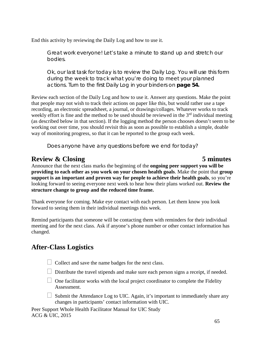End this activity by reviewing the Daily Log and how to use it.

Great work everyone! Let's take a minute to stand up and stretch our bodies.

Ok, our last task for today is to review the Daily Log. You will use this form during the week to track what you're doing to meet your planned actions. Turn to the first Daily Log in your binders on **page 54.**

Review each section of the Daily Log and how to use it. Answer any questions. Make the point that people may not wish to track their actions on paper like this, but would rather use a tape recording, an electronic spreadsheet, a journal, or drawings/collages. Whatever works to track weekly effort is fine and the method to be used should be reviewed in the  $3<sup>rd</sup>$  individual meeting (as described below in that section). If the logging method the person chooses doesn't seem to be working out over time, you should revisit this as soon as possible to establish a simple, doable way of monitoring progress, so that it can be reported to the group each week.

Does anyone have any questions before we end for today?

## **Review & Closing 5 minutes**

Announce that the next class marks the beginning of the **ongoing peer support you will be providing to each other as you work on your chosen health goals**. Make the point that **group support is an important and proven way for people to achieve their health goals**, so you're looking forward to seeing everyone next week to hear how their plans worked out. **Review the structure change to group and the reduced time frame.**

Thank everyone for coming. Make eye contact with each person. Let them know you look forward to seeing them in their individual meetings this week.

Remind participants that someone will be contacting them with reminders for their individual meeting and for the next class. Ask if anyone's phone number or other contact information has changed.

# **After-Class Logistics**

- $\Box$  Collect and save the name badges for the next class.
- $\Box$  Distribute the travel stipends and make sure each person signs a receipt, if needed.
- $\Box$  One facilitator works with the local project coordinator to complete the Fidelity Assessment.
- $\Box$  Submit the Attendance Log to UIC. Again, it's important to immediately share any changes in participants' contact information with UIC.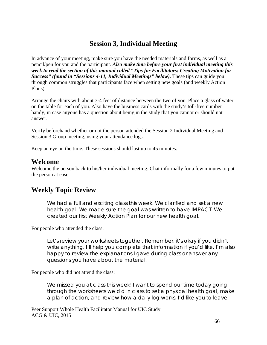### **Session 3, Individual Meeting**

In advance of your meeting, make sure you have the needed materials and forms, as well as a pencil/pen for you and the participant. *Also make time before your first individual meeting this week to read the section of this manual called "Tips for Facilitators: Creating Motivation for Success" (found in "Sessions 4-11, Individual Meetings" below).* These tips can guide you through common struggles that participants face when setting new goals (and weekly Action Plans).

Arrange the chairs with about 3-4 feet of distance between the two of you. Place a glass of water on the table for each of you. Also have the business cards with the study's toll-free number handy, in case anyone has a question about being in the study that you cannot or should not answer.

Verify beforehand whether or not the person attended the Session 2 Individual Meeting and Session 3 Group meeting, using your attendance logs.

Keep an eye on the time. These sessions should last up to 45 minutes.

#### **Welcome**

Welcome the person back to his/her individual meeting. Chat informally for a few minutes to put the person at ease.

### **Weekly Topic Review**

We had a full and exciting class this week. We clarified and set a new health goal. We made sure the goal was written to have IMPACT. We created our first Weekly Action Plan for our new health goal.

#### For people who attended the class:

Let's review your worksheets together. Remember, it's okay if you didn't write anything. I'll help you complete that information if you'd like. I'm also happy to review the explanations I gave during class or answer any questions you have about the material.

#### For people who did not attend the class:

We missed you at class this week! I want to spend our time today going through the worksheets we did in class to set a physical health goal, make a plan of action, and review how a daily log works. I'd like you to leave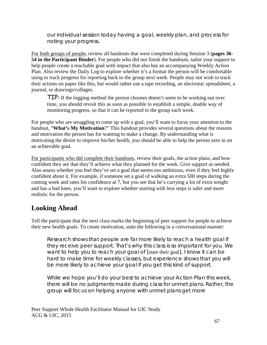our individual session today having a goal, weekly plan, and process for noting your progress.

For both groups of people, review all handouts that were completed during Session 3 (**pages 36- 54 in the Participant Binder**). For people who did not finish the handouts, tailor your support to help people create a reachable goal with impact that also has an accompanying Weekly Action Plan. Also review the Daily Log to explore whether it's a format the person will be comfortable using to track progress for reporting back to the group next week. People may not wish to track their actions on paper like this, but would rather use a tape recording, an electronic spreadsheet, a journal, or drawings/collages.

TIP: If the logging method the person chooses doesn't seem to be working out over time, you should revisit this as soon as possible to establish a simple, doable way of monitoring progress, so that it can be reported to the group each week.

For people who are struggling to come up with a goal, you'll want to focus your attention to the handout, "**What's My Motivation**?" This handout provides several questions about the reasons and motivation the person has for wanting to make a change. By understanding what is motivating the desire to improve his/her health, you should be able to help the person zero in on an achievable goal.

For participants who did complete their handouts, review their goals, the action plans, and how confident they are that they'll achieve what they planned for the week. Give support as needed. Also assess whether you feel they've set a goal that seems too ambitious, even if they feel highly confident about it. For example, if someone set a goal of walking an extra 500 steps during the coming week and rates his confidence at 7, but you see that he's carrying a lot of extra weight and has a bad knee, you'll want to explore whether starting with less steps is safer and more realistic for the person.

# **Looking Ahead**

Tell the participant that the next class marks the beginning of peer support for people to achieve their new health goals. To create motivation, state the following in a conversational manner:

Research shows that people are far more likely to reach a health goal if they receive peer support. That's why this class is so important for you. We want to help you to reach your goal of [state their goal]. I know it can be hard to make time for weekly classes, but experience shows that you will be more likely to achieve your goal if you get this kind of support.

While we hope you'll do your best to achieve your Action Plan this week, there will be no judgments made during class for unmet plans. Rather, the group will focus on helping anyone with unmet plans get more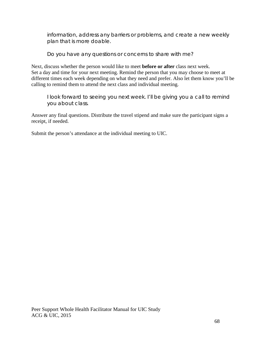information, address any barriers or problems, and create a new weekly plan that is more doable.

Do you have any questions or concerns to share with me?

Next, discuss whether the person would like to meet **before or after** class next week. Set a day and time for your next meeting. Remind the person that you may choose to meet at different times each week depending on what they need and prefer. Also let them know you'll be calling to remind them to attend the next class and individual meeting.

I look forward to seeing you next week. I'll be giving you a call to remind you about class.

Answer any final questions. Distribute the travel stipend and make sure the participant signs a receipt, if needed.

Submit the person's attendance at the individual meeting to UIC.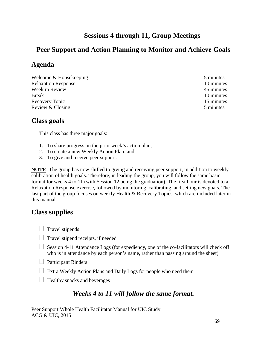# **Sessions 4 through 11, Group Meetings**

# **Peer Support and Action Planning to Monitor and Achieve Goals**

## **Agenda**

Welcome & Housekeeping 5 minutes Relaxation Response 10 minutes Week in Review 45 minutes 45 minutes Break 10 minutes Recovery Topic 15 minutes Review & Closing 5 minutes

## **Class goals**

This class has three major goals:

- 1. To share progress on the prior week's action plan;
- 2. To create a new Weekly Action Plan; and
- 3. To give and receive peer support.

**NOTE**: The group has now shifted to giving and receiving peer support, in addition to weekly calibration of health goals. Therefore, in leading the group, you will follow the same basic format for weeks 4 to 11 (with Session 12 being the graduation). The first hour is devoted to a Relaxation Response exercise, followed by monitoring, calibrating, and setting new goals. The last part of the group focuses on weekly Health & Recovery Topics, which are included later in this manual.

### **Class supplies**

- $\Box$  Travel stipends
- $\Box$  Travel stipend receipts, if needed
- $\Box$  Session 4-11 Attendance Logs (for expediency, one of the co-facilitators will check off who is in attendance by each person's name, rather than passing around the sheet)
- **Participant Binders**
- $\Box$  Extra Weekly Action Plans and Daily Logs for people who need them
- $\Box$  Healthy snacks and beverages

### *Weeks 4 to 11 will follow the same format.*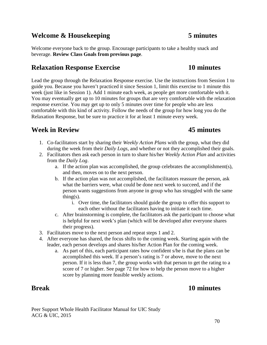#### **Welcome & Housekeeping 5 minutes**

Welcome everyone back to the group. Encourage participants to take a healthy snack and beverage. **Review Class Goals from previous page**.

#### **Relaxation Response Exercise 10 minutes**

Lead the group through the Relaxation Response exercise. Use the instructions from Session 1 to guide you. Because you haven't practiced it since Session 1, limit this exercise to 1 minute this week (just like in Session 1). Add 1 minute each week, as people get more comfortable with it. You may eventually get up to 10 minutes for groups that are very comfortable with the relaxation response exercise. You may get up to only 5 minutes over time for people who are less comfortable with this kind of activity. Follow the needs of the group for how long you do the Relaxation Response, but be sure to practice it for at least 1 minute every week.

#### **Week in Review 45 minutes**

- 1. Co-facilitators start by sharing their *Weekly Action Plans* with the group, what they did during the week from their *Daily Logs*, and whether or not they accomplished their goals.
- 2. Facilitators then ask each person in turn to share his/her *Weekly Action Plan* and activities from the *Daily Log*.
	- a. If the action plan was accomplished, the group celebrates the accomplishment(s), and then, moves on to the next person.
	- b. If the action plan was not accomplished, the facilitators reassure the person, ask what the barriers were, what could be done next week to succeed, and if the person wants suggestions from anyone in group who has struggled with the same thing $(s)$ .
		- i. Over time, the facilitators should guide the group to offer this support to each other without the facilitators having to initiate it each time.
	- c. After brainstorming is complete, the facilitators ask the participant to choose what is helpful for next week's plan (which will be developed after everyone shares their progress).
- 3. Facilitators move to the next person and repeat steps 1 and 2.
- 4. After everyone has shared, the focus shifts to the coming week. Starting again with the leader, each person develops and shares his/her Action Plan for the coming week.
	- a. As part of this, each participant rates how confident s/he is that the plans can be accomplished this week. If a person's rating is 7 or above, move to the next person. If it is less than 7, the group works with that person to get the rating to a score of 7 or higher. See page 72 for how to help the person move to a higher score by planning more feasible weekly actions.

### **Break 10 minutes**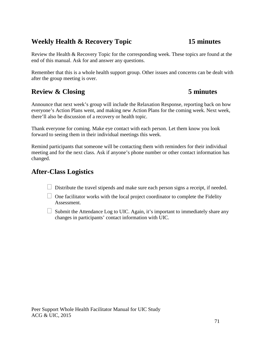# **Weekly Health & Recovery Topic 15 minutes**

Review the Health & Recovery Topic for the corresponding week. These topics are found at the end of this manual. Ask for and answer any questions.

Remember that this is a whole health support group. Other issues and concerns can be dealt with after the group meeting is over.

# **Review & Closing 5 minutes**

Announce that next week's group will include the Relaxation Response, reporting back on how everyone's Action Plans went, and making new Action Plans for the coming week. Next week, there'll also be discussion of a recovery or health topic.

Thank everyone for coming. Make eye contact with each person. Let them know you look forward to seeing them in their individual meetings this week.

Remind participants that someone will be contacting them with reminders for their individual meeting and for the next class. Ask if anyone's phone number or other contact information has changed.

# **After-Class Logistics**

- $\Box$  Distribute the travel stipends and make sure each person signs a receipt, if needed.
- $\Box$  One facilitator works with the local project coordinator to complete the Fidelity Assessment.
- $\Box$  Submit the Attendance Log to UIC. Again, it's important to immediately share any changes in participants' contact information with UIC.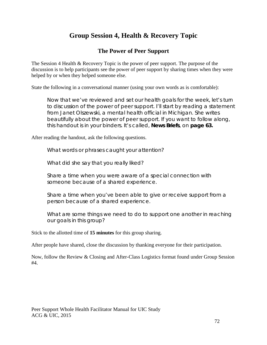# **Group Session 4, Health & Recovery Topic**

#### **The Power of Peer Support**

The Session 4 Health & Recovery Topic is the power of peer support. The purpose of the discussion is to help participants see the power of peer support by sharing times when they were helped by or when they helped someone else.

State the following in a conversational manner (using your own words as is comfortable):

Now that we've reviewed and set our health goals for the week, let's turn to discussion of the power of peer support. I'll start by reading a statement from Janet Olszewski, a mental health official in Michigan. She writes beautifully about the power of peer support. If you want to follow along, this handout is in your binders. It's called, *News Briefs*, on **page 63.**

After reading the handout, ask the following questions.

What words or phrases caught your attention?

What did she say that you really liked?

Share a time when you were aware of a special connection with someone because of a shared experience.

Share a time when you've been able to give or receive support from a person because of a shared experience.

What are some things we need to do to support one another in reaching our goals in this group?

Stick to the allotted time of **15 minutes** for this group sharing.

After people have shared, close the discussion by thanking everyone for their participation.

Now, follow the Review & Closing and After-Class Logistics format found under Group Session #4.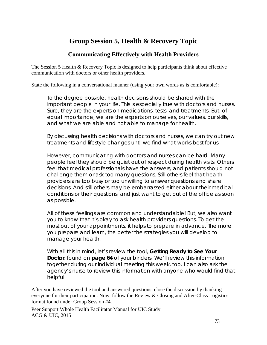# **Group Session 5, Health & Recovery Topic**

#### **Communicating Effectively with Health Providers**

The Session 5 Health & Recovery Topic is designed to help participants think about effective communication with doctors or other health providers.

State the following in a conversational manner (using your own words as is comfortable):

To the degree possible, health decisions should be shared with the important people in your life. This is especially true with doctors and nurses. Sure, they are the experts on medications, tests, and treatments. But, of equal importance, we are the experts on ourselves, our values, our skills, and what we are able and not able to manage for health.

By discussing health decisions with doctors and nurses, we can try out new treatments and lifestyle changes until we find what works best for us.

However, communicating with doctors and nurses can be hard. Many people feel they should be quiet out of respect during health visits. Others feel that medical professionals have the answers, and patients should not challenge them or ask too many questions. Still others feel that health providers are too busy or too unwilling to answer questions and share decisions. And still others may be embarrassed either about their medical conditions or their questions, and just want to get out of the office as soon as possible.

All of these feelings are common and understandable! But, we also want you to know that it's okay to ask health providers questions. To get the most out of your appointments, it helps to prepare in advance. The more you prepare and learn, the better the strategies you will develop to manage your health.

With all this in mind, let's review the tool, *Getting Ready to See Your Doctor*, found on **page 64** of your binders. We'll review this information together during our individual meeting this week, too. I can also ask the agency's nurse to review this information with anyone who would find that helpful.

After you have reviewed the tool and answered questions, close the discussion by thanking everyone for their participation. Now, follow the Review & Closing and After-Class Logistics format found under Group Session #4.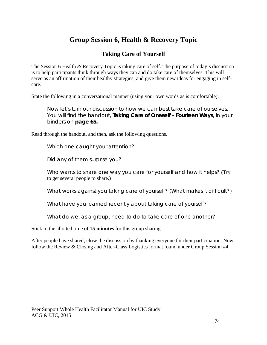# **Group Session 6, Health & Recovery Topic**

#### **Taking Care of Yourself**

The Session 6 Health & Recovery Topic is taking care of self. The purpose of today's discussion is to help participants think through ways they can and do take care of themselves. This will serve as an affirmation of their healthy strategies, and give them new ideas for engaging in selfcare.

State the following in a conversational manner (using your own words as is comfortable):

Now let's turn our discussion to how we can best take care of ourselves. You will find the handout, *Taking Care of Oneself – Fourteen Ways*, in your binders on **page 65.**

Read through the handout, and then, ask the following questions.

Which one caught your attention?

Did any of them surprise you?

Who wants to share one way you care for yourself and how it helps? (Try to get several people to share.)

What works against you taking care of yourself? (What makes it difficult?)

What have you learned recently about taking care of yourself?

What do we, as a group, need to do to take care of one another?

Stick to the allotted time of **15 minutes** for this group sharing.

After people have shared, close the discussion by thanking everyone for their participation. Now, follow the Review & Closing and After-Class Logistics format found under Group Session #4.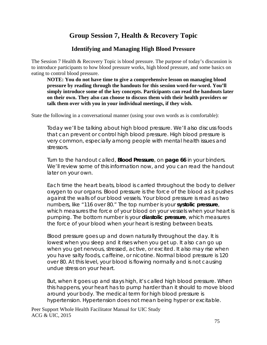# **Group Session 7, Health & Recovery Topic**

#### **Identifying and Managing High Blood Pressure**

The Session 7 Health & Recovery Topic is blood pressure. The purpose of today's discussion is to introduce participants to how blood pressure works, high blood pressure, and some basics on eating to control blood pressure.

**NOTE: You do not have time to give a comprehensive lesson on managing blood pressure by reading through the handouts for this session word-for-word. You'll simply introduce some of the key concepts. Participants can read the handouts later on their own. They also can choose to discuss them with their health providers or talk them over with you in your individual meetings, if they wish.**

State the following in a conversational manner (using your own words as is comfortable):

Today we'll be talking about high blood pressure. We'll also discuss foods that can prevent or control high blood pressure. High blood pressure is very common, especially among people with mental health issues and stressors.

Turn to the handout called, *Blood Pressure*, on **page 66** in your binders. We'll review some of this information now, and you can read the handout later on your own.

Each time the heart beats, blood is carried throughout the body to deliver oxygen to our organs. Blood pressure is the force of the blood as it pushes against the walls of our blood vessels. Your blood pressure is read as two numbers, like "116 over 80." The top number is your **systolic pressure**, which measures the force of your blood on your vessels when your heart is pumping. The bottom number is your **diastolic pressure**, which measures the force of your blood when your heart is resting between beats.

Blood pressure goes up and down naturally throughout the day. It is lowest when you sleep and it rises when you get up. It also can go up when you get nervous, stressed, active, or excited. It also may rise when you have salty foods, caffeine, or nicotine. Normal blood pressure is 120 over 80. At this level, your blood is flowing normally and is not causing undue stress on your heart.

But, when it goes up and stays high, it's called high blood pressure. When this happens, your heart has to pump harder than it should to move blood around your body. The medical term for high blood pressure is hypertension. Hypertension does not mean being hyper or excitable.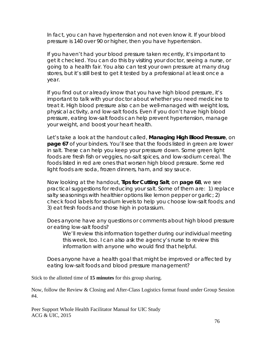In fact, you can have hypertension and not even know it. If your blood pressure is 140 over 90 or higher, then you have hypertension.

If you haven't had your blood pressure taken recently, it's important to get it checked. You can do this by visiting your doctor, seeing a nurse, or going to a health fair. You also can test your own pressure at many drug stores, but it's still best to get it tested by a professional at least once a year.

If you find out or already know that you have high blood pressure, it's important to talk with your doctor about whether you need medicine to treat it. High blood pressure also can be well-managed with weight loss, physical activity, and low-salt foods. Even if you don't have high blood pressure, eating low-salt foods can help prevent hypertension, manage your weight, and boost your heart health.

Let's take a look at the handout called, *Managing High Blood Pressure*, on **page 67** of your binders. You'll see that the foods listed in green are lower in salt. These can help you keep your pressure down. Some green light foods are fresh fish or veggies, no-salt spices, and low-sodium cereal. The foods listed in red are ones that worsen high blood pressure. Some red light foods are soda, frozen dinners, ham, and soy sauce.

Now looking at the handout, *Tips for Cutting Salt*, on **page 68**, we see practical suggestions for reducing your salt. Some of them are: 1) replace salty seasonings with healthier options like lemon pepper or garlic; 2) check food labels for sodium levels to help you choose low-salt foods; and 3) eat fresh foods and those high in potassium.

Does anyone have any questions or comments about high blood pressure or eating low-salt foods?

We'll review this information together during our individual meeting this week, too. I can also ask the agency's nurse to review this information with anyone who would find that helpful.

Does anyone have a health goal that might be improved or affected by eating low-salt foods and blood pressure management?

Stick to the allotted time of **15 minutes** for this group sharing.

Now, follow the Review & Closing and After-Class Logistics format found under Group Session #4.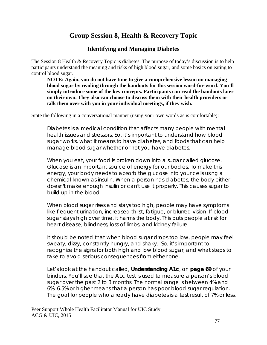## **Group Session 8, Health & Recovery Topic**

#### **Identifying and Managing Diabetes**

The Session 8 Health & Recovery Topic is diabetes. The purpose of today's discussion is to help participants understand the meaning and risks of high blood sugar, and some basics on eating to control blood sugar.

**NOTE: Again, you do not have time to give a comprehensive lesson on managing blood sugar by reading through the handouts for this session word-for-word. You'll simply introduce some of the key concepts. Participants can read the handouts later on their own. They also can choose to discuss them with their health providers or talk them over with you in your individual meetings, if they wish.**

State the following in a conversational manner (using your own words as is comfortable):

Diabetes is a medical condition that affects many people with mental health issues and stressors. So, it's important to understand how blood sugar works, what it means to have diabetes, and foods that can help manage blood sugar whether or not you have diabetes.

When you eat, your food is broken down into a sugar called glucose. Glucose is an important source of energy for our bodies. To make this energy, your body needs to absorb the glucose into your cells using a chemical known as insulin. When a person has diabetes, the body either doesn't make enough insulin or can't use it properly. This causes sugar to build up in the blood.

When blood sugar rises and stays too high, people may have symptoms like frequent urination, increased thirst, fatigue, or blurred vision. If blood sugar stays high over time, it harms the body. This puts people at risk for heart disease, blindness, loss of limbs, and kidney failure.

It should be noted that when blood sugar drops too low, people may feel sweaty, dizzy, constantly hungry, and shaky. So, it's important to recognize the signs for both high and low blood sugar, and what steps to take to avoid serious consequences from either one.

Let's look at the handout called, *Understanding A1c*, on **page 69** of your binders. You'll see that the A1c test is used to measure a person's blood sugar over the past 2 to 3 months. The normal range is between 4% and 6%. 6.5% or higher means that a person has poor blood sugar regulation. The goal for people who already have diabetes is a test result of 7% or less.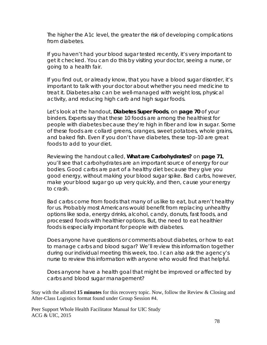The higher the A1c level, the greater the risk of developing complications from diabetes.

If you haven't had your blood sugar tested recently, it's very important to get it checked. You can do this by visiting your doctor, seeing a nurse, or going to a health fair.

If you find out, or already know, that you have a blood sugar disorder, it's important to talk with your doctor about whether you need medicine to treat it. Diabetes also can be well-managed with weight loss, physical activity, and reducing high carb and high sugar foods.

Let's look at the handout, *Diabetes Super Foods*, on **page 70** of your binders. Experts say that these 10 foods are among the healthiest for people with diabetes because they're high in fiber and low in sugar. Some of these foods are collard greens, oranges, sweet potatoes, whole grains, and baked fish. Even if you don't have diabetes, these top-10 are great foods to add to your diet.

Reviewing the handout called, *What are Carbohydrates?* on **page 71**, you'll see that carbohydrates are an important source of energy for our bodies. Good carbs are part of a healthy diet because they give you good energy, without making your blood sugar spike. Bad carbs, however, make your blood sugar go up very quickly, and then, cause your energy to crash.

Bad carbs come from foods that many of us like to eat, but aren't healthy for us. Probably most Americans would benefit from replacing unhealthy options like soda, energy drinks, alcohol, candy, donuts, fast foods, and processed foods with healthier options. But, the need to eat healthier foods is especially important for people with diabetes.

Does anyone have questions or comments about diabetes, or how to eat to manage carbs and blood sugar? We'll review this information together during our individual meeting this week, too. I can also ask the agency's nurse to review this information with anyone who would find that helpful.

Does anyone have a health goal that might be improved or affected by carbs and blood sugar management?

Stay with the allotted **15 minutes** for this recovery topic. Now, follow the Review & Closing and After-Class Logistics format found under Group Session #4.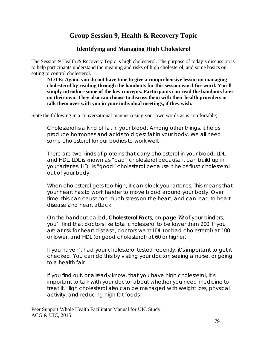## **Group Session 9, Health & Recovery Topic**

#### **Identifying and Managing High Cholesterol**

The Session 9 Health & Recovery Topic is high cholesterol. The purpose of today's discussion is to help participants understand the meaning and risks of high cholesterol, and some basics on eating to control cholesterol.

**NOTE: Again, you do not have time to give a comprehensive lesson on managing cholesterol by reading through the handouts for this session word-for-word. You'll simply introduce some of the key concepts. Participants can read the handouts later on their own. They also can choose to discuss them with their health providers or talk them over with you in your individual meetings, if they wish.**

State the following in a conversational manner (using your own words as is comfortable):

Cholesterol is a kind of fat in your blood. Among other things, it helps produce hormones and acids to digest fat in your body. We all need some cholesterol for our bodies to work well.

There are two kinds of proteins that carry cholesterol in your blood: LDL and HDL. LDL is known as "bad" cholesterol because it can build up in your arteries. HDL is "good" cholesterol because it helps flush cholesterol out of your body.

When cholesterol gets too high, it can block your arteries. This means that your heart has to work harder to move blood around your body. Over time, this can cause too much stress on the heart, and can lead to heart disease and heart attack.

On the handout called, *Cholesterol Facts*, on **page 72** of your binders, you'll find that doctors like total cholesterol to be lower than 200. If you are at risk for heart disease, doctors want LDL (or bad cholesterol) at 100 or lower, and HDL (or good cholesterol) at 60 or higher.

If you haven't had your cholesterol tested recently, it's important to get it checked. You can do this by visiting your doctor, seeing a nurse, or going to a health fair.

If you find out, or already know, that you have high cholesterol, it's important to talk with your doctor about whether you need medicine to treat it. High cholesterol also can be managed with weight loss, physical activity, and reducing high fat foods.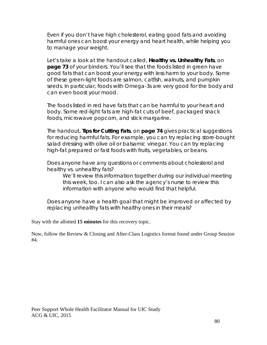Even if you don't have high cholesterol, eating good fats and avoiding harmful ones can boost your energy and heart health, while helping you to manage your weight.

Let's take a look at the handout called, *Healthy vs. Unhealthy Fats*, on **page 73** of your binders. You'll see that the foods listed in green have good fats that can boost your energy with less harm to your body. Some of these green-light foods are salmon, catfish, walnuts, and pumpkin seeds. In particular, foods with Omega-3s are very good for the body and can even boost your mood.

The foods listed in red have fats that can be harmful to your heart and body. Some red-light fats are high-fat cuts of beef, packaged snack foods, microwave popcorn, and stick margarine.

The handout, *Tips for Cutting Fats*, on **page 74** gives practical suggestions for reducing harmful fats. For example, you can try replacing store-bought salad dressing with olive oil or balsamic vinegar. You can try replacing high-fat prepared or fast foods with fruits, vegetables, or beans.

Does anyone have any questions or comments about cholesterol and healthy vs. unhealthy fats?

We'll review this information together during our individual meeting this week, too. I can also ask the agency's nurse to review this information with anyone who would find that helpful.

Does anyone have a health goal that might be improved or affected by replacing unhealthy fats with healthy ones in their meals?

Stay with the allotted **15 minutes** for this recovery topic.

Now, follow the Review & Closing and After-Class Logistics format found under Group Session #4.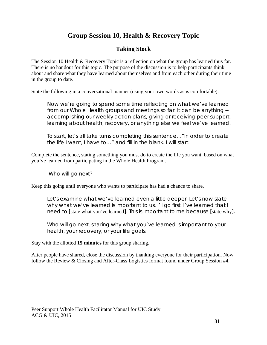# **Group Session 10, Health & Recovery Topic**

#### **Taking Stock**

The Session 10 Health & Recovery Topic is a reflection on what the group has learned thus far. There is no handout for this topic. The purpose of the discussion is to help participants think about and share what they have learned about themselves and from each other during their time in the group to date.

State the following in a conversational manner (using your own words as is comfortable):

Now we're going to spend some time reflecting on what we've learned from our Whole Health groups and meetings so far. It can be anything - accomplishing our weekly action plans, giving or receiving peer support, learning about health, recovery, or anything else we feel we've learned.

To start, let's all take turns completing this sentence…"In order to create the life I want, I have to…" and fill in the blank. I will start.

Complete the sentence, stating something you must do to create the life you want, based on what you've learned from participating in the Whole Health Program.

Who will go next?

Keep this going until everyone who wants to participate has had a chance to share.

Let's examine what we've learned even a little deeper. Let's now state why what we've learned is important to us. I'll go first. I've learned that I need to [state what you've learned]. This is important to me because [state why].

Who will go next, sharing why what you've learned is important to your health, your recovery, or your life goals.

Stay with the allotted **15 minutes** for this group sharing.

After people have shared, close the discussion by thanking everyone for their participation. Now, follow the Review & Closing and After-Class Logistics format found under Group Session #4.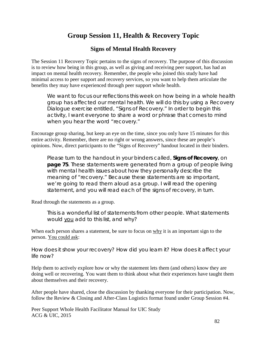## **Group Session 11, Health & Recovery Topic**

#### **Signs of Mental Health Recovery**

The Session 11 Recovery Topic pertains to the signs of recovery. The purpose of this discussion is to review how being in this group, as well as giving and receiving peer support, has had an impact on mental health recovery. Remember, the people who joined this study have had minimal access to peer support and recovery services, so you want to help them articulate the benefits they may have experienced through peer support whole health.

We want to focus our reflections this week on how being in a whole health group has affected our mental health. We will do this by using a Recovery Dialogue exercise entitled, "Signs of Recovery." In order to begin this activity, I want everyone to share a word or phrase that comes to mind when you hear the word "recovery."

Encourage group sharing, but keep an eye on the time, since you only have 15 minutes for this entire activity. Remember, there are no right or wrong answers, since these are people's opinions. Now, direct participants to the "Signs of Recovery" handout located in their binders.

Please turn to the handout in your binders called, *Signs of Recovery*, on **page 75**. These statements were generated from a group of people living with mental health issues about how they personally describe the meaning of "recovery." Because these statements are so important, we're going to read them aloud as a group. I will read the opening statement, and you will read each of the signs of recovery, in turn.

Read through the statements as a group.

This is a wonderful list of statements from other people. What statements would you add to this list, and why?

When each person shares a statement, be sure to focus on why it is an important sign to the person. You could ask:

How does it show your recovery? How did you learn it? How does it affect your life now?

Help them to actively explore how or why the statement lets them (and others) know they are doing well or recovering. You want them to think about what their experiences have taught them about themselves and their recovery.

After people have shared, close the discussion by thanking everyone for their participation. Now, follow the Review & Closing and After-Class Logistics format found under Group Session #4.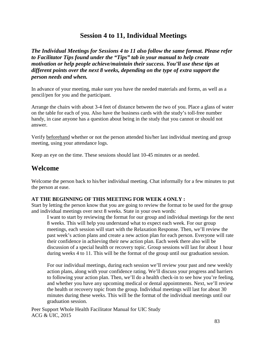### **Session 4 to 11, Individual Meetings**

*The Individual Meetings for Sessions 4 to 11 also follow the same format. Please refer to Facilitator Tips found under the "Tips" tab in your manual to help create motivation or help people achieve/maintain their success. You'll use these tips at different points over the next 8 weeks, depending on the type of extra support the person needs and when.*

In advance of your meeting, make sure you have the needed materials and forms, as well as a pencil/pen for you and the participant.

Arrange the chairs with about 3-4 feet of distance between the two of you. Place a glass of water on the table for each of you. Also have the business cards with the study's toll-free number handy, in case anyone has a question about being in the study that you cannot or should not answer.

Verify beforehand whether or not the person attended his/her last individual meeting and group meeting, using your attendance logs.

Keep an eye on the time. These sessions should last 10-45 minutes or as needed.

#### **Welcome**

Welcome the person back to his/her individual meeting. Chat informally for a few minutes to put the person at ease.

#### **AT THE BEGINNING OF THIS MEETING FOR WEEK 4 ONLY :**

Start by letting the person know that you are going to review the format to be used for the group and individual meetings over next 8 weeks. State in your own words:

I want to start by reviewing the format for our group and individual meetings for the next 8 weeks. This will help you understand what to expect each week. For our group meetings, each session will start with the Relaxation Response. Then, we'll review the past week's action plans and create a new action plan for each person. Everyone will rate their confidence in achieving their new action plan. Each week there also will be discussion of a special health or recovery topic. Group sessions will last for about 1 hour during weeks 4 to 11. This will be the format of the group until our graduation session.

For our individual meetings, during each session we'll review your past and new weekly action plans, along with your confidence rating. We'll discuss your progress and barriers to following your action plan. Then, we'll do a health check-in to see how you're feeling, and whether you have any upcoming medical or dental appointments. Next, we'll review the health or recovery topic from the group. Individual meetings will last for about 30 minutes during these weeks. This will be the format of the individual meetings until our graduation session.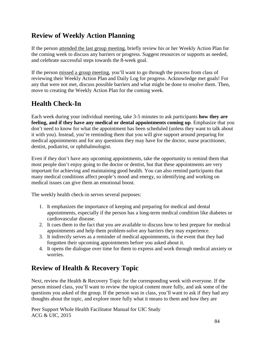# **Review of Weekly Action Planning**

If the person attended the last group meeting, briefly review his or her Weekly Action Plan for the coming week to discuss any barriers or progress. Suggest resources or supports as needed, and celebrate successful steps towards the 8-week goal.

If the person missed a group meeting, you'll want to go through the process from class of reviewing their Weekly Action Plan and Daily Log for progress. Acknowledge met goals! For any that were not met, discuss possible barriers and what might be done to resolve them. Then, move to creating the Weekly Action Plan for the coming week.

# **Health Check-In**

Each week during your individual meeting, take 3-5 minutes to ask participants **how they are feeling, and if they have any medical or dental appointments coming up**. Emphasize that you don't need to know for what the appointment has been scheduled (unless they want to talk about it with you). Instead, you're reminding them that you will give support around preparing for medical appointments and for any questions they may have for the doctor, nurse practitioner, dentist, podiatrist, or ophthalmologist.

Even if they don't have any upcoming appointments, take the opportunity to remind them that most people don't enjoy going to the doctor or dentist, but that these appointments are very important for achieving and maintaining good health. You can also remind participants that many medical conditions affect people's mood and energy, so identifying and working on medical issues can give them an emotional boost.

The weekly health check-in serves several purposes:

- 1. It emphasizes the importance of keeping and preparing for medical and dental appointments, especially if the person has a long-term medical condition like diabetes or cardiovascular disease.
- 2. It cues them to the fact that you are available to discuss how to best prepare for medical appointments and help them problem-solve any barriers they may experience.
- 3. It indirectly serves as a reminder of medical appointments, in the event that they had forgotten their upcoming appointments before you asked about it.
- 4. It opens the dialogue over time for them to express and work through medical anxiety or worries.

# **Review of Health & Recovery Topic**

Next, review the Health & Recovery Topic for the corresponding week with everyone. If the person missed class, you'll want to review the topical content more fully, and ask some of the questions you asked of the group. If the person was in class, you'll want to ask if they had any thoughts about the topic, and explore more fully what it means to them and how they are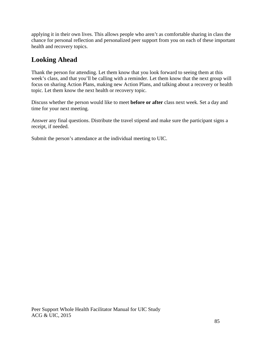applying it in their own lives. This allows people who aren't as comfortable sharing in class the chance for personal reflection and personalized peer support from you on each of these important health and recovery topics.

# **Looking Ahead**

Thank the person for attending. Let them know that you look forward to seeing them at this week's class, and that you'll be calling with a reminder. Let them know that the next group will focus on sharing Action Plans, making new Action Plans, and talking about a recovery or health topic. Let them know the next health or recovery topic.

Discuss whether the person would like to meet **before or after** class next week. Set a day and time for your next meeting.

Answer any final questions. Distribute the travel stipend and make sure the participant signs a receipt, if needed.

Submit the person's attendance at the individual meeting to UIC.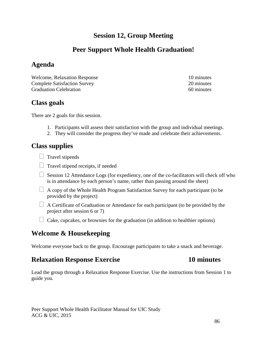## **Session 12, Group Meeting**

# **Peer Support Whole Health Graduation!**

# **Agenda**

Welcome, Relaxation Response 10 minutes Complete Satisfaction Survey 20 minutes Graduation Celebration 60 minutes

## **Class goals**

There are 2 goals for this session.

- 1. Participants will assess their satisfaction with the group and individual meetings.
- 2. They will consider the progress they've made and celebrate their achievements.

## **Class supplies**

 $\Box$  Travel stipends

- $\Box$  Travel stipend receipts, if needed
- $\Box$  Session 12 Attendance Logs (for expediency, one of the co-facilitators will check off who is in attendance by each person's name, rather than passing around the sheet)
- $\Box$  A copy of the Whole Health Program Satisfaction Survey for each participant (to be provided by the project)
- $\Box$  A Certificate of Graduation or Attendance for each participant (to be provided by the project after session 6 or 7)
- $\Box$  Cake, cupcakes, or brownies for the graduation (in addition to healthier options)

## **Welcome & Housekeeping**

Welcome everyone back to the group. Encourage participants to take a snack and beverage.

### **Relaxation Response Exercise 10 minutes**

Lead the group through a Relaxation Response Exercise. Use the instructions from Session 1 to guide you.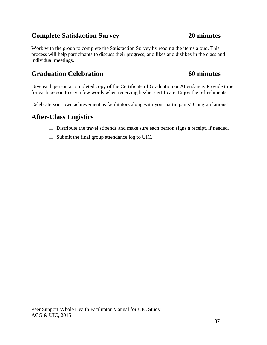## **Complete Satisfaction Survey 20 minutes**

Work with the group to complete the Satisfaction Survey by reading the items aloud. This process will help participants to discuss their progress, and likes and dislikes in the class and individual meetings.

## **Graduation Celebration 60 minutes**

Give each person a completed copy of the Certificate of Graduation or Attendance. Provide time for each person to say a few words when receiving his/her certificate. Enjoy the refreshments.

Celebrate your own achievement as facilitators along with your participants! Congratulations!

## **After-Class Logistics**

 $\Box$  Distribute the travel stipends and make sure each person signs a receipt, if needed.

 $\Box$  Submit the final group attendance log to UIC.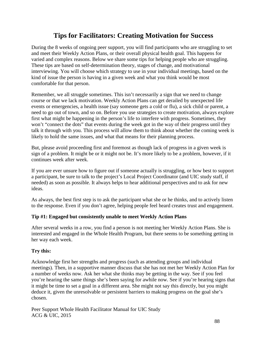## **Tips for Facilitators: Creating Motivation for Success**

During the 8 weeks of ongoing peer support, you will find participants who are struggling to set and meet their Weekly Action Plans, or their overall physical health goal. This happens for varied and complex reasons. Below we share some tips for helping people who are struggling. These tips are based on self-determination theory, stages of change, and motivational interviewing. You will choose which strategy to use in your individual meetings, based on the kind of issue the person is having in a given week and what you think would be most comfortable for that person.

Remember, we all struggle sometimes. This isn't necessarily a sign that we need to change course or that we lack motivation. Weekly Action Plans can get derailed by unexpected life events or emergencies, a health issue (say someone gets a cold or flu), a sick child or parent, a need to go out of town, and so on. Before you use strategies to create motivation, always explore first what might be happening in the person's life to interfere with progress. Sometimes, they won't "connect the dots" that events during the week got in the way of their progress until they talk it through with you. This process will allow them to think about whether the coming week is likely to hold the same issues, and what that means for their planning process.

But, please avoid proceeding first and foremost as though lack of progress in a given week is sign of a problem. It might be or it might not be. It's more likely to be a problem, however, if it continues week after week.

If you are ever unsure how to figure out if someone actually is struggling, or how best to support a participant, be sure to talk to the project's Local Project Coordinator (and UIC study staff, if needed) as soon as possible. It always helps to hear additional perspectives and to ask for new ideas.

As always, the best first step is to ask the participant what she or he thinks, and to actively listen to the response. Even if you don't agree, helping people feel heard creates trust and engagement.

#### **Tip #1: Engaged but consistently unable to meet Weekly Action Plans**

After several weeks in a row, you find a person is not meeting her Weekly Action Plans. She is interested and engaged in the Whole Health Program, but there seems to be something getting in her way each week.

#### **Try this:**

Acknowledge first her strengths and progress (such as attending groups and individual meetings). Then, in a supportive manner discuss that she has not met her Weekly Action Plan for a number of weeks now. Ask her what she thinks may be getting in the way. See if you feel you're hearing the same things she's been saying for awhile now. See if you're hearing signs that it might be time to set a goal in a different area. She might not say this directly, but you might deduce it, given the unresolvable or persistent barriers to making progress on the goal she's chosen.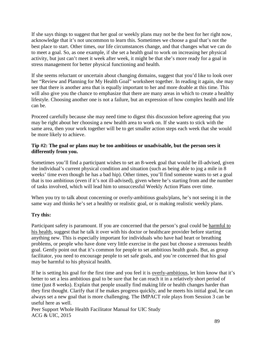If she says things to suggest that her goal or weekly plans may not be the best for her right now, acknowledge that it's not uncommon to learn this. Sometimes we choose a goal that's not the best place to start. Other times, our life circumstances change, and that changes what we can do to meet a goal. So, as one example, if she set a health goal to work on increasing her physical activity, but just can't meet it week after week, it might be that she's more ready for a goal in stress management for better physical functioning and health.

If she seems reluctant or uncertain about changing domains, suggest that you'd like to look over her "Review and Planning for My Health Goal" worksheet together. In reading it again, she may see that there is another area that is equally important to her and more doable at this time. This will also give you the chance to emphasize that there are many areas in which to create a healthy lifestyle. Choosing another one is not a failure, but an expression of how complex health and life can be.

Proceed carefully because she may need time to digest this discussion before agreeing that you may be right about her choosing a new health area to work on. If she wants to stick with the same area, then your work together will be to get smaller action steps each week that she would be more likely to achieve.

#### **Tip #2: The goal or plans may be too ambitious or unadvisable, but the person sees it differently from you.**

Sometimes you'll find a participant wishes to set an 8-week goal that would be ill-advised, given the individual's current physical condition and situation (such as being able to jog a mile in 8 weeks' time even though he has a bad hip). Other times, you'll find someone wants to set a goal that is too ambitious (even if it's not ill-advised), given where he's starting from and the number of tasks involved, which will lead him to unsuccessful Weekly Action Plans over time.

When you try to talk about concerning or overly-ambitious goals/plans, he's not seeing it in the same way and thinks he's set a healthy or realistic goal, or is making realistic weekly plans.

#### **Try this:**

Participant safety is paramount. If you are concerned that the person's goal could be harmful to his health, suggest that he talk it over with his doctor or healthcare provider before starting anything new. This is especially important for individuals who have had heart or breathing problems, or people who have done very little exercise in the past but choose a strenuous health goal. Gently point out that it's common for people to set ambitious health goals. But, as group facilitator, you need to encourage people to set safe goals, and you're concerned that his goal may be harmful to his physical health.

If he is setting his goal for the first time and you feel it is overly-ambitious, let him know that it's better to set a less ambitious goal to be sure that he can reach it in a relatively short period of time (just 8 weeks). Explain that people usually find making life or health changes harder than they first thought. Clarify that if he makes progress quickly, and he meets his initial goal, he can always set a new goal that is more challenging. The IMPACT role plays from Session 3 can be useful here as well.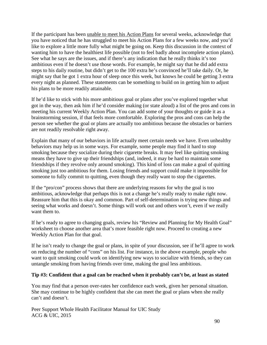If the participant has been unable to meet his Action Plans for several weeks, acknowledge that you have noticed that he has struggled to meet his Action Plans for a few weeks now, and you'd like to explore a little more fully what might be going on. Keep this discussion in the context of wanting him to have the healthiest life possible (not to feel badly about incomplete action plans). See what he says are the issues, and if there's any indication that he really thinks it's too ambitious even if he doesn't use those words. For example, he might say that he did add extra steps to his daily routine, but didn't get to the 100 extra he's convinced he'll take daily. Or, he might say that he got 1 extra hour of sleep once this week, but knows he could be getting 3 extra every night as planned. These statements can be something to build on in getting him to adjust his plans to be more readily attainable.

If he'd like to stick with his more ambitious goal or plans after you've explored together what got in the way, then ask him if he'd consider making (or state aloud) a list of the pros and cons in meeting his current Weekly Action Plan. You can add some of your thoughts or guide it as a brainstorming session, if that feels more comfortable. Exploring the pros and cons can help the person see whether the goal or plans are actually too ambitious because the obstacles or barriers are not readily resolvable right away.

Explain that many of our behaviors in life actually meet certain needs we have. Even unhealthy behaviors may help us in some ways. For example, some people may find it hard to stop smoking because they socialize during their cigarette breaks. It may feel like quitting smoking means they have to give up their friendships (and, indeed, it may be hard to maintain some friendships if they revolve only around smoking). This kind of loss can make a goal of quitting smoking just too ambitious for them. Losing friends and support could make it impossible for someone to fully commit to quitting, even though they really want to stop the cigarettes.

If the "pro/con" process shows that there are underlying reasons for why the goal is too ambitious, acknowledge that perhaps this is not a change he's really ready to make right now. Reassure him that this is okay and common. Part of self-determination is trying new things and seeing what works and doesn't. Some things will work out and others won't, even if we really want them to.

If he's ready to agree to changing goals, review his "Review and Planning for My Health Goal" worksheet to choose another area that's more feasible right now. Proceed to creating a new Weekly Action Plan for that goal.

If he isn't ready to change the goal or plans, in spite of your discussion, see if he'll agree to work on reducing the number of "cons" on his list. For instance, in the above example, people who want to quit smoking could work on identifying new ways to socialize with friends, so they can untangle smoking from having friends over time, making the goal less ambitious.

#### **Tip #3: Confident that a goal can be reached when it probably can't be, at least as stated**

You may find that a person over-rates her confidence each week, given her personal situation. She may continue to be highly confident that she can meet the goal or plans when she really can't and doesn't.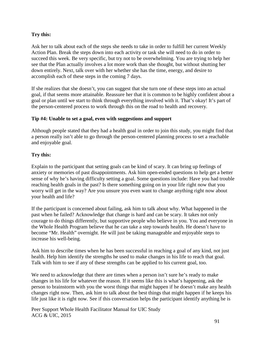#### **Try this:**

Ask her to talk about each of the steps she needs to take in order to fulfill her current Weekly Action Plan. Break the steps down into each activity or task she will need to do in order to succeed this week. Be very specific, but try not to be overwhelming. You are trying to help her see that the Plan actually involves a lot more work than she thought, but without shutting her down entirely. Next, talk over with her whether she has the time, energy, and desire to accomplish each of these steps in the coming 7 days.

If she realizes that she doesn't, you can suggest that she turn one of these steps into an actual goal, if that seems more attainable. Reassure her that it is common to be highly confident about a goal or plan until we start to think through everything involved with it. That's okay! It's part of the person-centered process to work through this on the road to health and recovery.

#### **Tip #4: Unable to set a goal, even with suggestions and support**

Although people stated that they had a health goal in order to join this study, you might find that a person really isn't able to go through the person-centered planning process to set a reachable and enjoyable goal.

#### **Try this:**

Explain to the participant that setting goals can be kind of scary. It can bring up feelings of anxiety or memories of past disappointments. Ask him open-ended questions to help get a better sense of why he's having difficulty setting a goal. Some questions include: Have you had trouble reaching health goals in the past? Is there something going on in your life right now that you worry will get in the way? Are you unsure you even want to change anything right now about your health and life?

If the participant is concerned about failing, ask him to talk about why. What happened in the past when he failed? Acknowledge that change is hard and can be scary. It takes not only courage to do things differently, but supportive people who believe in you. You and everyone in the Whole Health Program believe that he can take a step towards health. He doesn't have to become "Mr. Health" overnight. He will just be taking manageable and enjoyable steps to increase his well-being.

Ask him to describe times when he has been successful in reaching a goal of any kind, not just health. Help him identify the strengths he used to make changes in his life to reach that goal. Talk with him to see if any of these strengths can be applied to his current goal, too.

We need to acknowledge that there are times when a person isn't sure he's ready to make changes in his life for whatever the reason. If it seems like this is what's happening, ask the person to brainstorm with you the worst things that might happen if he doesn't make any health changes right now. Then, ask him to talk about the best things that might happen if he keeps his life just like it is right now. See if this conversation helps the participant identify anything he is